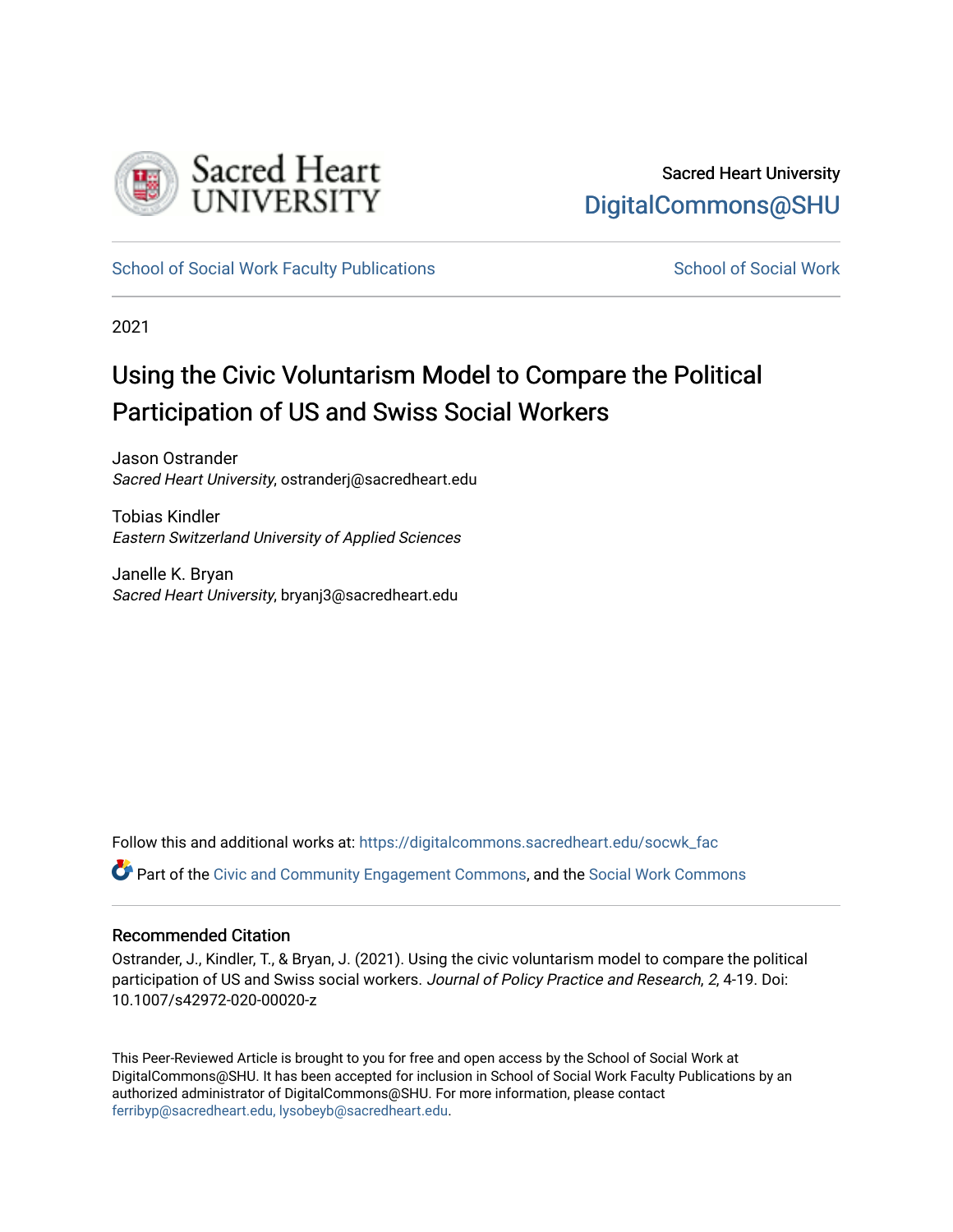

[School of Social Work Faculty Publications](https://digitalcommons.sacredheart.edu/socwk_fac) [School of Social Work](https://digitalcommons.sacredheart.edu/socwk) School of Social Work

2021

# Using the Civic Voluntarism Model to Compare the Political Participation of US and Swiss Social Workers

Jason Ostrander Sacred Heart University, ostranderj@sacredheart.edu

Tobias Kindler Eastern Switzerland University of Applied Sciences

Janelle K. Bryan Sacred Heart University, bryanj3@sacredheart.edu

Follow this and additional works at: [https://digitalcommons.sacredheart.edu/socwk\\_fac](https://digitalcommons.sacredheart.edu/socwk_fac?utm_source=digitalcommons.sacredheart.edu%2Fsocwk_fac%2F64&utm_medium=PDF&utm_campaign=PDFCoverPages)  Part of the [Civic and Community Engagement Commons](http://network.bepress.com/hgg/discipline/1028?utm_source=digitalcommons.sacredheart.edu%2Fsocwk_fac%2F64&utm_medium=PDF&utm_campaign=PDFCoverPages), and the [Social Work Commons](http://network.bepress.com/hgg/discipline/713?utm_source=digitalcommons.sacredheart.edu%2Fsocwk_fac%2F64&utm_medium=PDF&utm_campaign=PDFCoverPages) 

#### Recommended Citation

Ostrander, J., Kindler, T., & Bryan, J. (2021). Using the civic voluntarism model to compare the political participation of US and Swiss social workers. Journal of Policy Practice and Research, 2, 4-19. Doi: 10.1007/s42972-020-00020-z

This Peer-Reviewed Article is brought to you for free and open access by the School of Social Work at DigitalCommons@SHU. It has been accepted for inclusion in School of Social Work Faculty Publications by an authorized administrator of DigitalCommons@SHU. For more information, please contact [ferribyp@sacredheart.edu, lysobeyb@sacredheart.edu.](mailto:ferribyp@sacredheart.edu,%20lysobeyb@sacredheart.edu)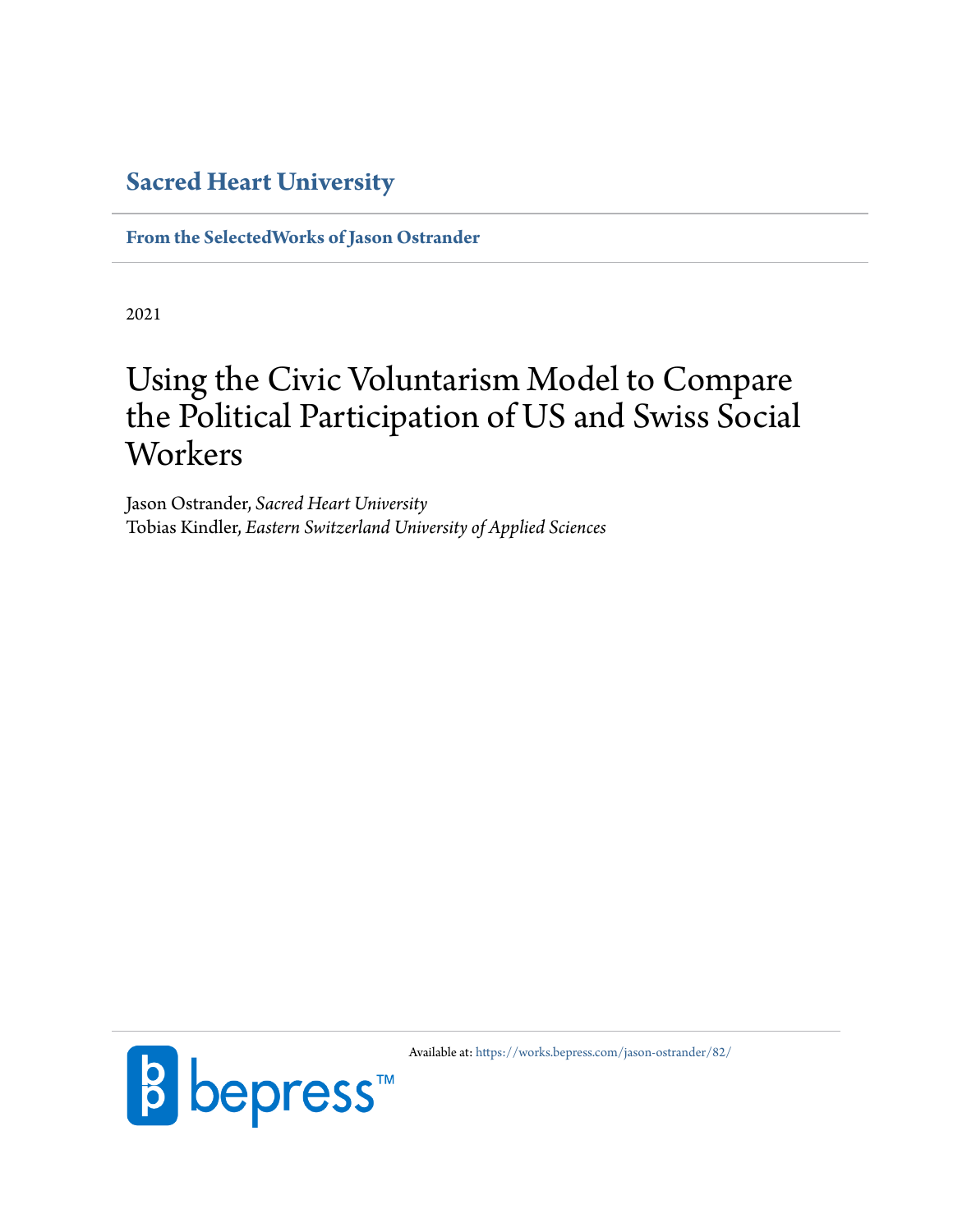# **[Sacred Heart University](https://www.sacredheart.edu)**

**[From the SelectedWorks of Jason Ostrander](https://works.bepress.com/jason-ostrander/)**

2021

# Using the Civic Voluntarism Model to Compare the Political Participation of US and Swiss Social **Workers**

Jason Ostrander, *Sacred Heart University* Tobias Kindler, *Eastern Switzerland University of Applied Sciences*



Available at: <https://works.bepress.com/jason-ostrander/82/>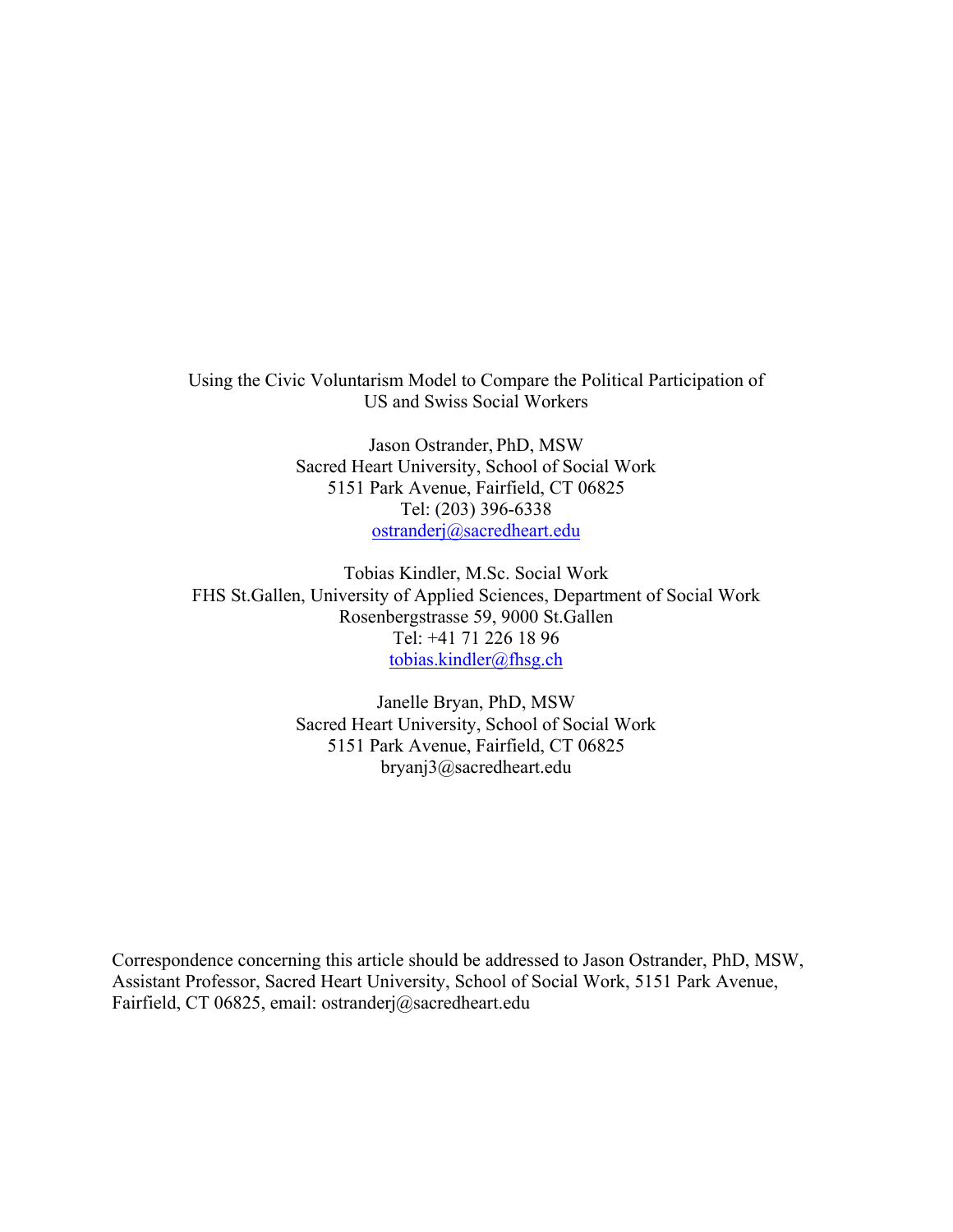Using the Civic Voluntarism Model to Compare the Political Participation of US and Swiss Social Workers

> Jason Ostrander, PhD, MSW Sacred Heart University, School of Social Work 5151 Park Avenue, Fairfield, CT 06825 Tel: (203) 396-6338 ostranderj@sacredheart.edu

Tobias Kindler, M.Sc. Social Work FHS St.Gallen, University of Applied Sciences, Department of Social Work Rosenbergstrasse 59, 9000 St.Gallen Tel: +41 71 226 18 96 tobias.kindler@fhsg.ch

> Janelle Bryan, PhD, MSW Sacred Heart University, School of Social Work 5151 Park Avenue, Fairfield, CT 06825 bryanj3@sacredheart.edu

Correspondence concerning this article should be addressed to Jason Ostrander, PhD, MSW, Assistant Professor, Sacred Heart University, School of Social Work, 5151 Park Avenue, Fairfield, CT 06825, email: ostranderj@sacredheart.edu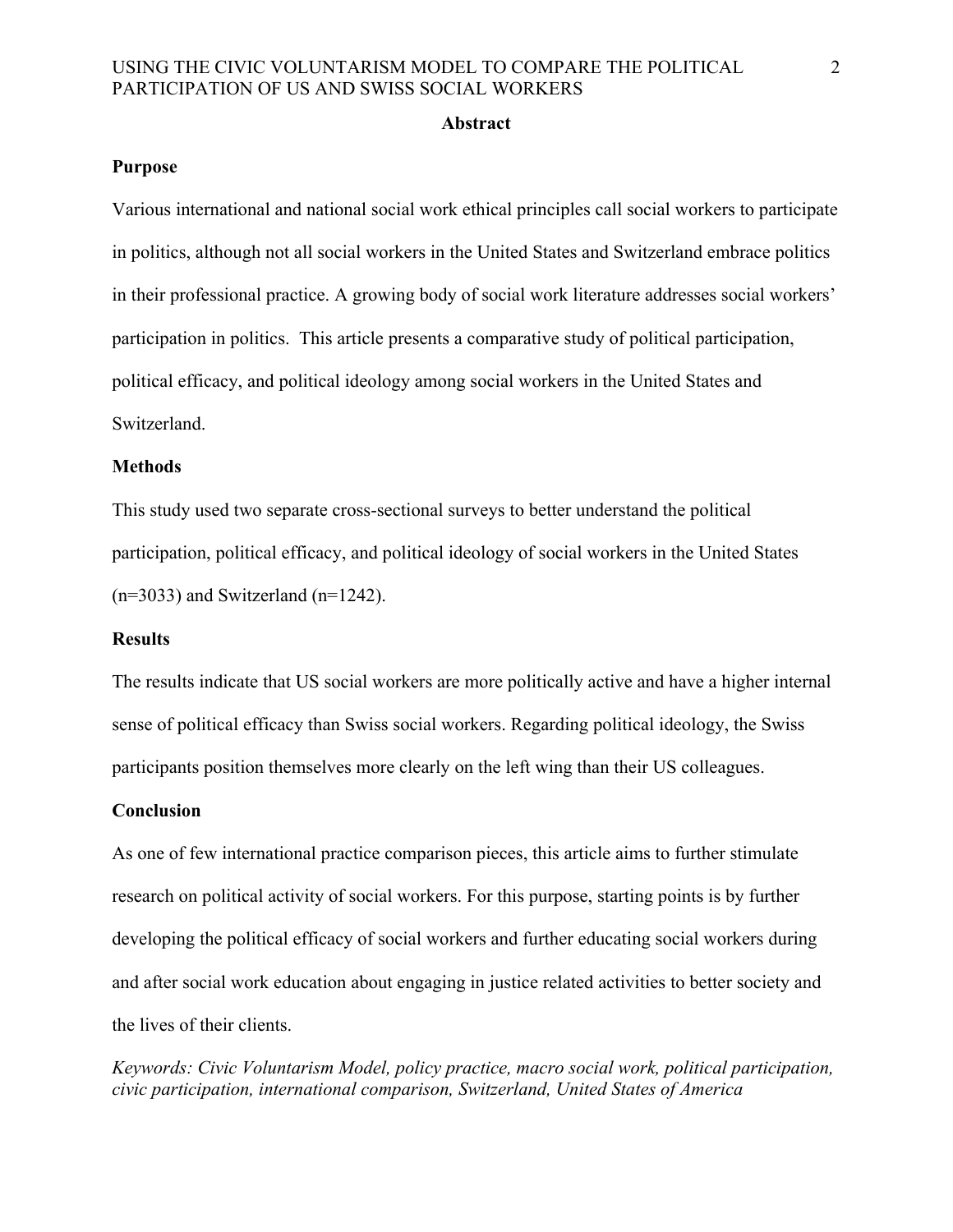#### **Abstract**

#### **Purpose**

Various international and national social work ethical principles call social workers to participate in politics, although not all social workers in the United States and Switzerland embrace politics in their professional practice. A growing body of social work literature addresses social workers' participation in politics. This article presents a comparative study of political participation, political efficacy, and political ideology among social workers in the United States and Switzerland.

#### **Methods**

This study used two separate cross-sectional surveys to better understand the political participation, political efficacy, and political ideology of social workers in the United States  $(n=3033)$  and Switzerland  $(n=1242)$ .

#### **Results**

The results indicate that US social workers are more politically active and have a higher internal sense of political efficacy than Swiss social workers. Regarding political ideology, the Swiss participants position themselves more clearly on the left wing than their US colleagues.

#### **Conclusion**

As one of few international practice comparison pieces, this article aims to further stimulate research on political activity of social workers. For this purpose, starting points is by further developing the political efficacy of social workers and further educating social workers during and after social work education about engaging in justice related activities to better society and the lives of their clients.

*Keywords: Civic Voluntarism Model, policy practice, macro social work, political participation, civic participation, international comparison, Switzerland, United States of America*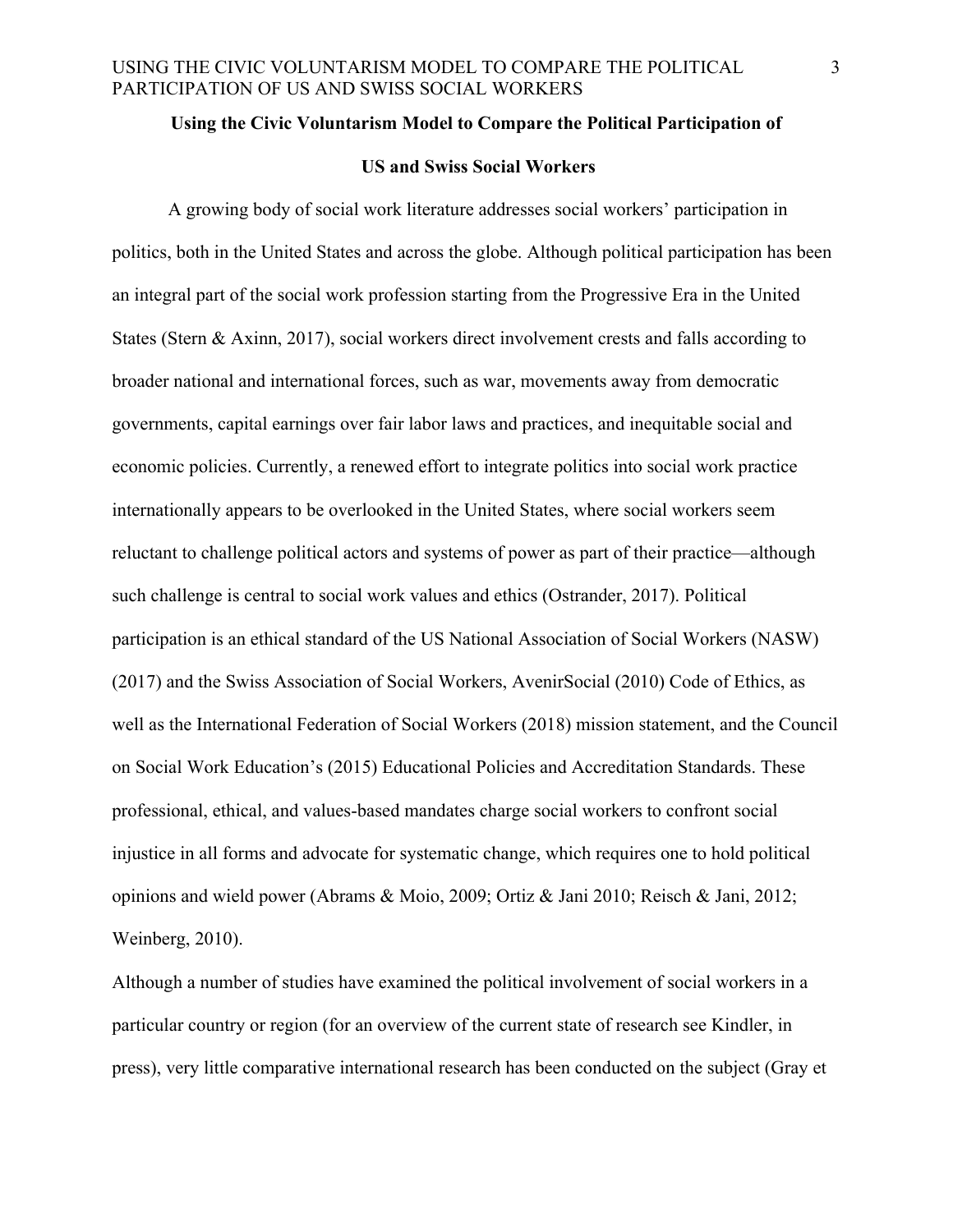#### **Using the Civic Voluntarism Model to Compare the Political Participation of**

# **US and Swiss Social Workers**

A growing body of social work literature addresses social workers' participation in politics, both in the United States and across the globe. Although political participation has been an integral part of the social work profession starting from the Progressive Era in the United States (Stern & Axinn, 2017), social workers direct involvement crests and falls according to broader national and international forces, such as war, movements away from democratic governments, capital earnings over fair labor laws and practices, and inequitable social and economic policies. Currently, a renewed effort to integrate politics into social work practice internationally appears to be overlooked in the United States, where social workers seem reluctant to challenge political actors and systems of power as part of their practice—although such challenge is central to social work values and ethics (Ostrander, 2017). Political participation is an ethical standard of the US National Association of Social Workers (NASW) (2017) and the Swiss Association of Social Workers, AvenirSocial (2010) Code of Ethics, as well as the International Federation of Social Workers (2018) mission statement, and the Council on Social Work Education's (2015) Educational Policies and Accreditation Standards. These professional, ethical, and values-based mandates charge social workers to confront social injustice in all forms and advocate for systematic change, which requires one to hold political opinions and wield power (Abrams & Moio, 2009; Ortiz & Jani 2010; Reisch & Jani, 2012; Weinberg, 2010).

Although a number of studies have examined the political involvement of social workers in a particular country or region (for an overview of the current state of research see Kindler, in press), very little comparative international research has been conducted on the subject (Gray et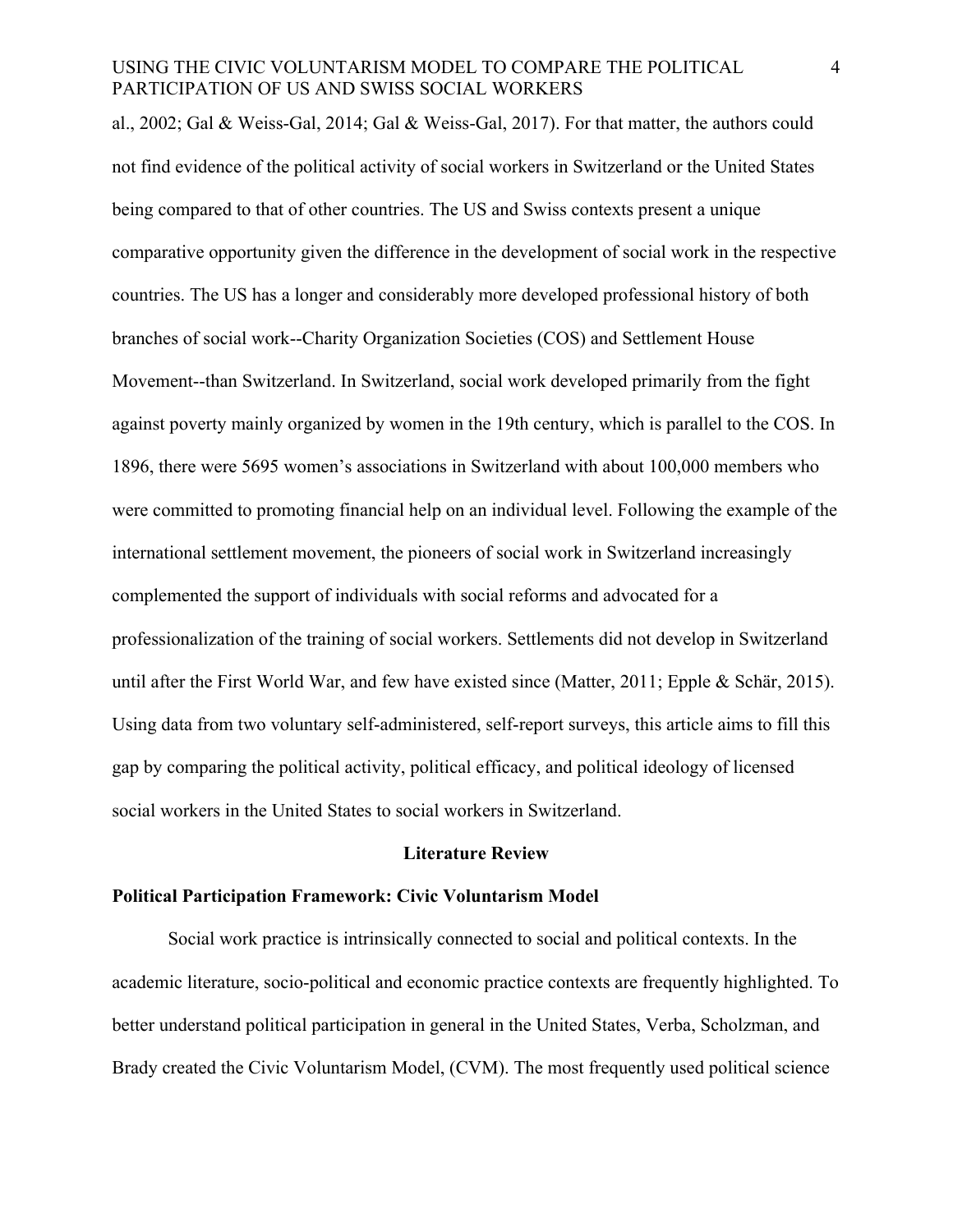al., 2002; Gal & Weiss-Gal, 2014; Gal & Weiss-Gal, 2017). For that matter, the authors could not find evidence of the political activity of social workers in Switzerland or the United States being compared to that of other countries. The US and Swiss contexts present a unique comparative opportunity given the difference in the development of social work in the respective countries. The US has a longer and considerably more developed professional history of both branches of social work--Charity Organization Societies (COS) and Settlement House Movement--than Switzerland. In Switzerland, social work developed primarily from the fight against poverty mainly organized by women in the 19th century, which is parallel to the COS. In 1896, there were 5695 women's associations in Switzerland with about 100,000 members who were committed to promoting financial help on an individual level. Following the example of the international settlement movement, the pioneers of social work in Switzerland increasingly complemented the support of individuals with social reforms and advocated for a professionalization of the training of social workers. Settlements did not develop in Switzerland until after the First World War, and few have existed since (Matter, 2011; Epple & Schär, 2015). Using data from two voluntary self-administered, self-report surveys, this article aims to fill this gap by comparing the political activity, political efficacy, and political ideology of licensed social workers in the United States to social workers in Switzerland.

#### **Literature Review**

#### **Political Participation Framework: Civic Voluntarism Model**

Social work practice is intrinsically connected to social and political contexts. In the academic literature, socio-political and economic practice contexts are frequently highlighted. To better understand political participation in general in the United States, Verba, Scholzman, and Brady created the Civic Voluntarism Model, (CVM). The most frequently used political science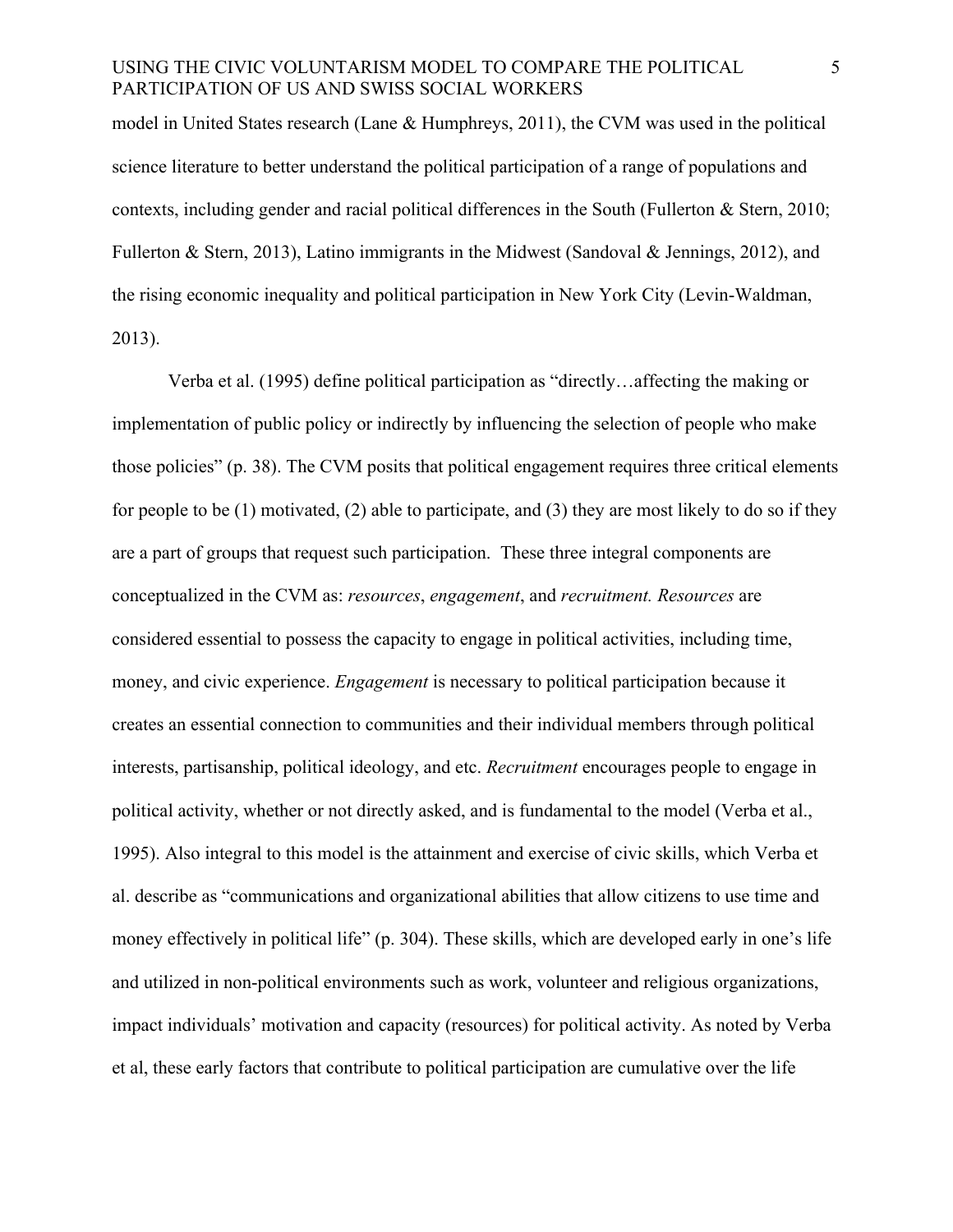model in United States research (Lane & Humphreys, 2011), the CVM was used in the political science literature to better understand the political participation of a range of populations and contexts, including gender and racial political differences in the South (Fullerton & Stern, 2010; Fullerton & Stern, 2013), Latino immigrants in the Midwest (Sandoval & Jennings, 2012), and the rising economic inequality and political participation in New York City (Levin-Waldman, 2013).

Verba et al. (1995) define political participation as "directly…affecting the making or implementation of public policy or indirectly by influencing the selection of people who make those policies" (p. 38). The CVM posits that political engagement requires three critical elements for people to be (1) motivated, (2) able to participate, and (3) they are most likely to do so if they are a part of groups that request such participation. These three integral components are conceptualized in the CVM as: *resources*, *engagement*, and *recruitment. Resources* are considered essential to possess the capacity to engage in political activities, including time, money, and civic experience. *Engagement* is necessary to political participation because it creates an essential connection to communities and their individual members through political interests, partisanship, political ideology, and etc. *Recruitment* encourages people to engage in political activity, whether or not directly asked, and is fundamental to the model (Verba et al., 1995). Also integral to this model is the attainment and exercise of civic skills, which Verba et al. describe as "communications and organizational abilities that allow citizens to use time and money effectively in political life" (p. 304). These skills, which are developed early in one's life and utilized in non-political environments such as work, volunteer and religious organizations, impact individuals' motivation and capacity (resources) for political activity. As noted by Verba et al, these early factors that contribute to political participation are cumulative over the life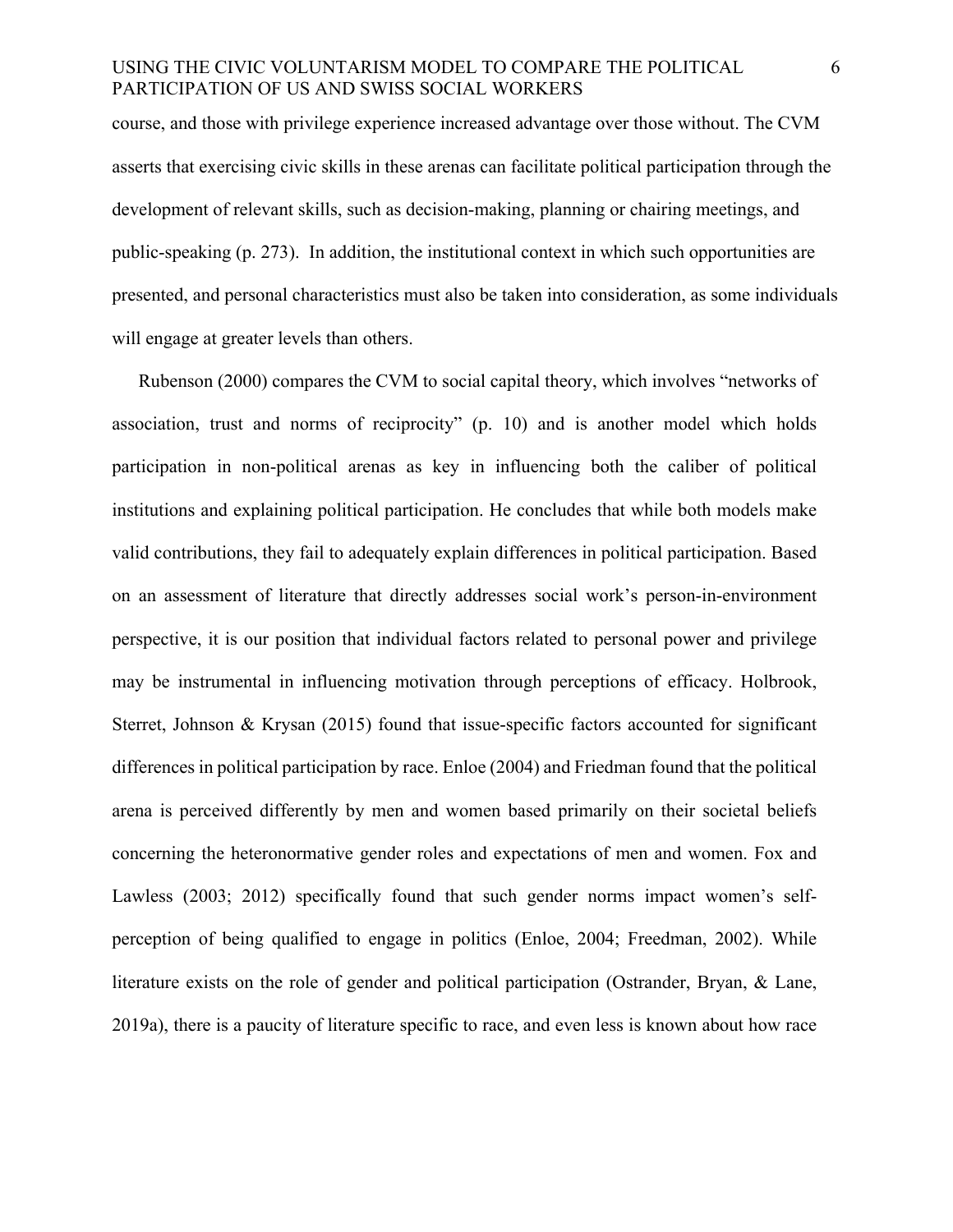course, and those with privilege experience increased advantage over those without. The CVM asserts that exercising civic skills in these arenas can facilitate political participation through the development of relevant skills, such as decision-making, planning or chairing meetings, and public-speaking (p. 273). In addition, the institutional context in which such opportunities are presented, and personal characteristics must also be taken into consideration, as some individuals will engage at greater levels than others.

Rubenson (2000) compares the CVM to social capital theory, which involves "networks of association, trust and norms of reciprocity" (p. 10) and is another model which holds participation in non-political arenas as key in influencing both the caliber of political institutions and explaining political participation. He concludes that while both models make valid contributions, they fail to adequately explain differences in political participation. Based on an assessment of literature that directly addresses social work's person-in-environment perspective, it is our position that individual factors related to personal power and privilege may be instrumental in influencing motivation through perceptions of efficacy. Holbrook, Sterret, Johnson & Krysan (2015) found that issue-specific factors accounted for significant differences in political participation by race. Enloe (2004) and Friedman found that the political arena is perceived differently by men and women based primarily on their societal beliefs concerning the heteronormative gender roles and expectations of men and women. Fox and Lawless (2003; 2012) specifically found that such gender norms impact women's selfperception of being qualified to engage in politics (Enloe, 2004; Freedman, 2002). While literature exists on the role of gender and political participation (Ostrander, Bryan, & Lane, 2019a), there is a paucity of literature specific to race, and even less is known about how race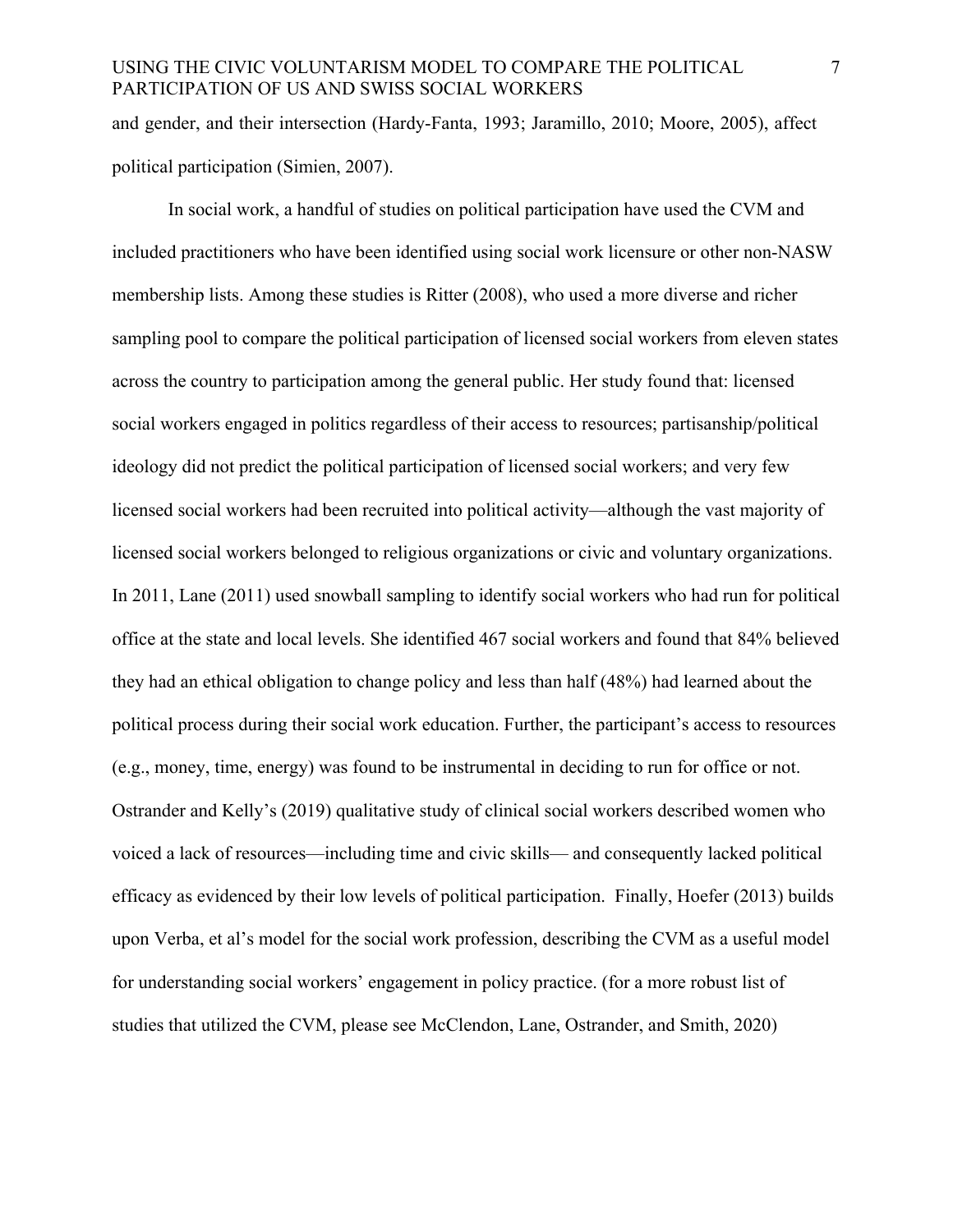and gender, and their intersection (Hardy-Fanta, 1993; Jaramillo, 2010; Moore, 2005), affect political participation (Simien, 2007).

In social work, a handful of studies on political participation have used the CVM and included practitioners who have been identified using social work licensure or other non-NASW membership lists. Among these studies is Ritter (2008), who used a more diverse and richer sampling pool to compare the political participation of licensed social workers from eleven states across the country to participation among the general public. Her study found that: licensed social workers engaged in politics regardless of their access to resources; partisanship/political ideology did not predict the political participation of licensed social workers; and very few licensed social workers had been recruited into political activity—although the vast majority of licensed social workers belonged to religious organizations or civic and voluntary organizations. In 2011, Lane (2011) used snowball sampling to identify social workers who had run for political office at the state and local levels. She identified 467 social workers and found that 84% believed they had an ethical obligation to change policy and less than half (48%) had learned about the political process during their social work education. Further, the participant's access to resources (e.g., money, time, energy) was found to be instrumental in deciding to run for office or not. Ostrander and Kelly's (2019) qualitative study of clinical social workers described women who voiced a lack of resources—including time and civic skills— and consequently lacked political efficacy as evidenced by their low levels of political participation. Finally, Hoefer (2013) builds upon Verba, et al's model for the social work profession, describing the CVM as a useful model for understanding social workers' engagement in policy practice. (for a more robust list of studies that utilized the CVM, please see McClendon, Lane, Ostrander, and Smith, 2020)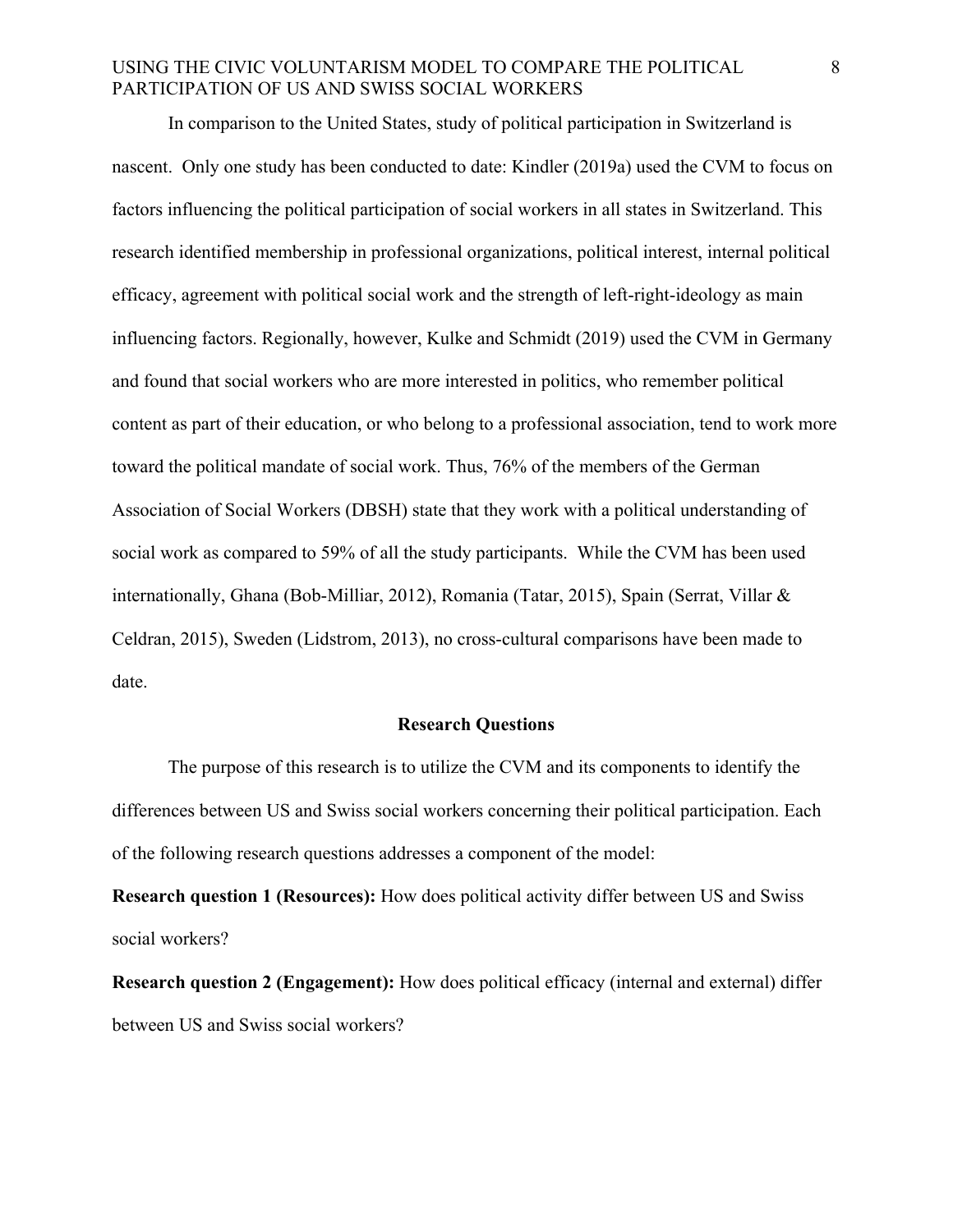In comparison to the United States, study of political participation in Switzerland is nascent. Only one study has been conducted to date: Kindler (2019a) used the CVM to focus on factors influencing the political participation of social workers in all states in Switzerland. This research identified membership in professional organizations, political interest, internal political efficacy, agreement with political social work and the strength of left-right-ideology as main influencing factors. Regionally, however, Kulke and Schmidt (2019) used the CVM in Germany and found that social workers who are more interested in politics, who remember political content as part of their education, or who belong to a professional association, tend to work more toward the political mandate of social work. Thus, 76% of the members of the German Association of Social Workers (DBSH) state that they work with a political understanding of social work as compared to 59% of all the study participants. While the CVM has been used internationally, Ghana (Bob-Milliar, 2012), Romania (Tatar, 2015), Spain (Serrat, Villar & Celdran, 2015), Sweden (Lidstrom, 2013), no cross-cultural comparisons have been made to date.

#### **Research Questions**

The purpose of this research is to utilize the CVM and its components to identify the differences between US and Swiss social workers concerning their political participation. Each of the following research questions addresses a component of the model:

**Research question 1 (Resources):** How does political activity differ between US and Swiss social workers?

**Research question 2 (Engagement):** How does political efficacy (internal and external) differ between US and Swiss social workers?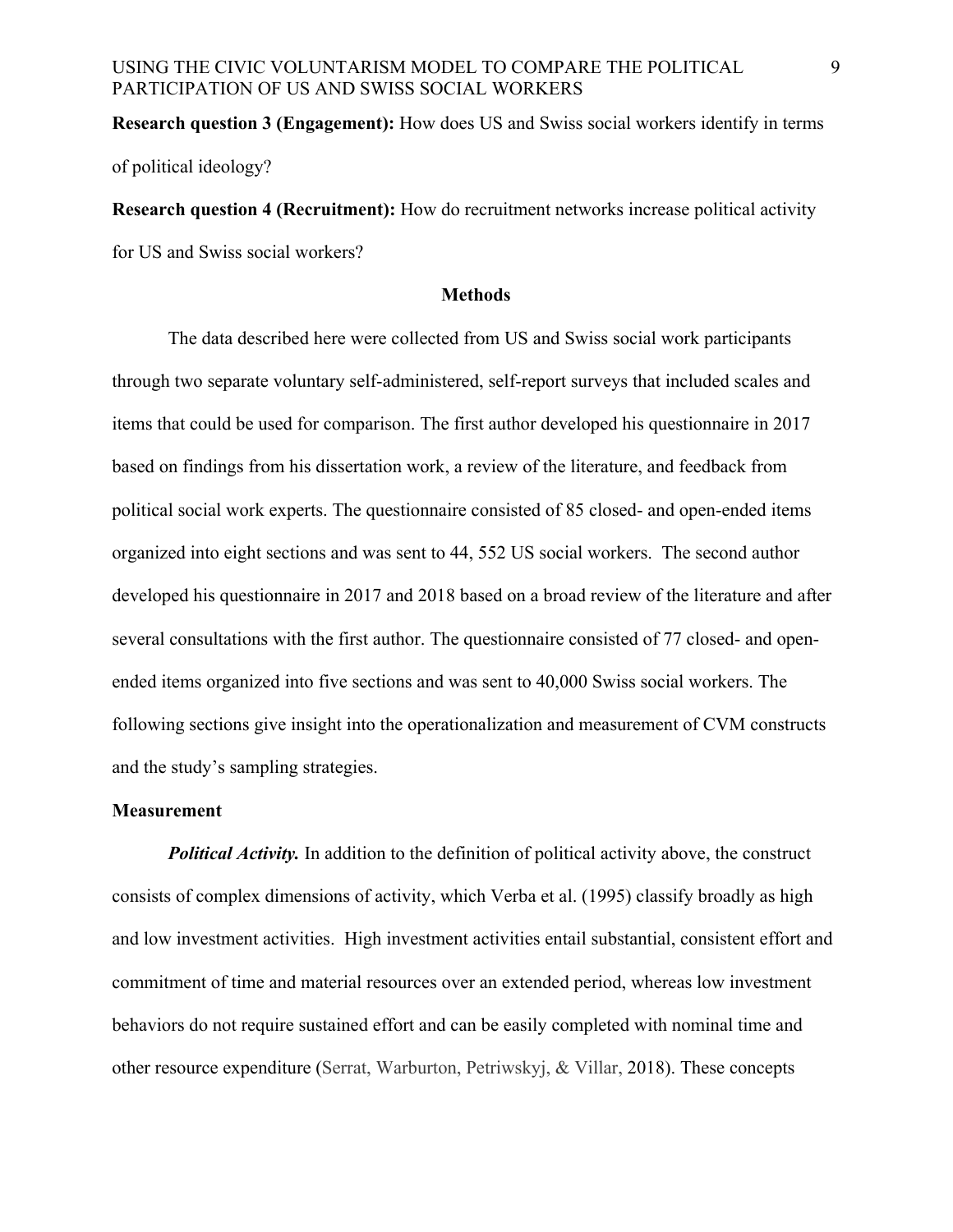**Research question 3 (Engagement):** How does US and Swiss social workers identify in terms of political ideology?

**Research question 4 (Recruitment):** How do recruitment networks increase political activity for US and Swiss social workers?

#### **Methods**

The data described here were collected from US and Swiss social work participants through two separate voluntary self-administered, self-report surveys that included scales and items that could be used for comparison. The first author developed his questionnaire in 2017 based on findings from his dissertation work, a review of the literature, and feedback from political social work experts. The questionnaire consisted of 85 closed- and open-ended items organized into eight sections and was sent to 44, 552 US social workers. The second author developed his questionnaire in 2017 and 2018 based on a broad review of the literature and after several consultations with the first author. The questionnaire consisted of 77 closed- and openended items organized into five sections and was sent to 40,000 Swiss social workers. The following sections give insight into the operationalization and measurement of CVM constructs and the study's sampling strategies.

#### **Measurement**

*Political Activity.* In addition to the definition of political activity above, the construct consists of complex dimensions of activity, which Verba et al. (1995) classify broadly as high and low investment activities. High investment activities entail substantial, consistent effort and commitment of time and material resources over an extended period, whereas low investment behaviors do not require sustained effort and can be easily completed with nominal time and other resource expenditure (Serrat, Warburton, Petriwskyj, & Villar, 2018). These concepts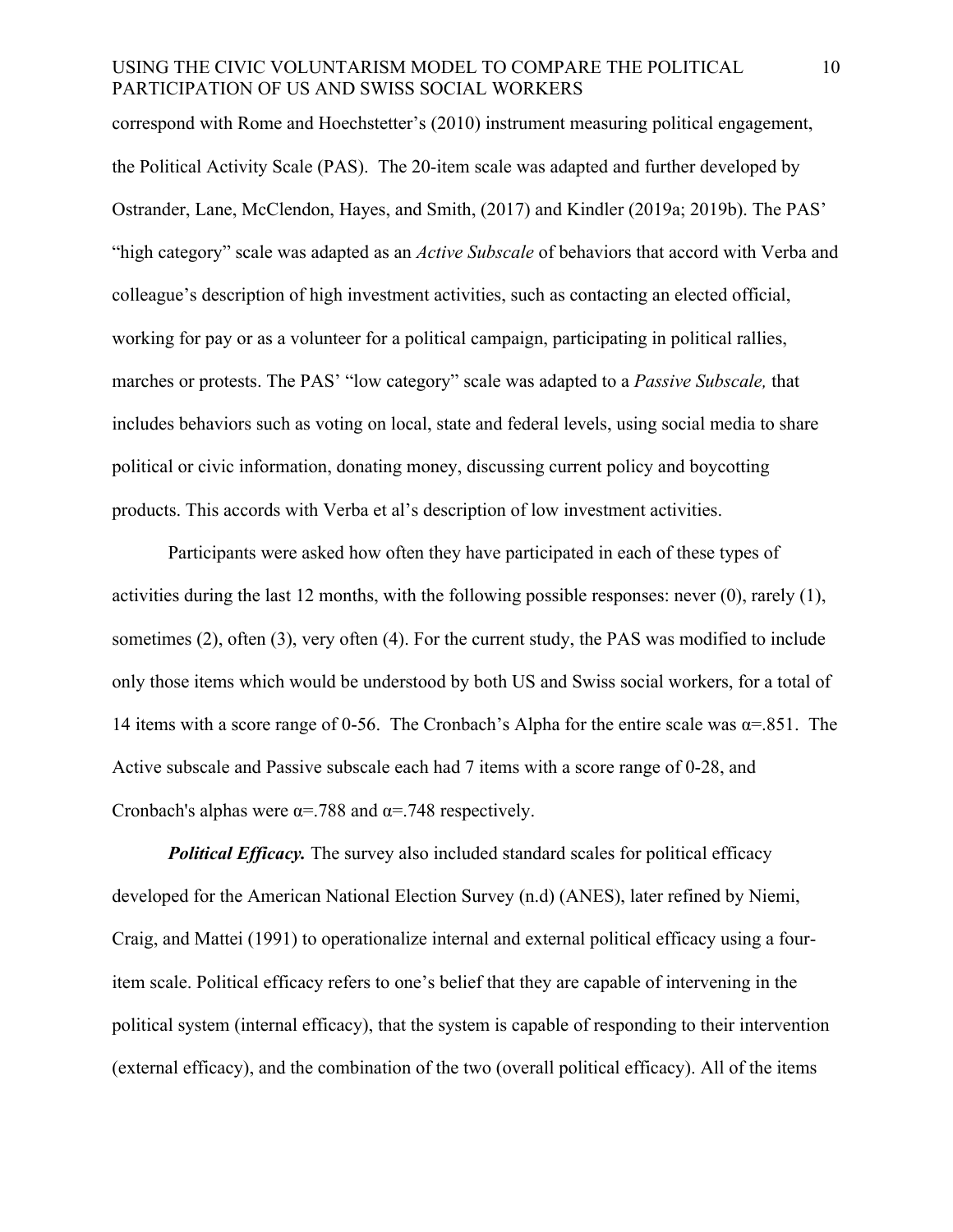correspond with Rome and Hoechstetter's (2010) instrument measuring political engagement, the Political Activity Scale (PAS). The 20-item scale was adapted and further developed by Ostrander, Lane, McClendon, Hayes, and Smith, (2017) and Kindler (2019a; 2019b). The PAS' "high category" scale was adapted as an *Active Subscale* of behaviors that accord with Verba and colleague's description of high investment activities, such as contacting an elected official, working for pay or as a volunteer for a political campaign, participating in political rallies, marches or protests. The PAS' "low category" scale was adapted to a *Passive Subscale,* that includes behaviors such as voting on local, state and federal levels, using social media to share political or civic information, donating money, discussing current policy and boycotting products. This accords with Verba et al's description of low investment activities.

Participants were asked how often they have participated in each of these types of activities during the last 12 months, with the following possible responses: never (0), rarely (1), sometimes (2), often (3), very often (4). For the current study, the PAS was modified to include only those items which would be understood by both US and Swiss social workers, for a total of 14 items with a score range of 0-56. The Cronbach's Alpha for the entire scale was  $\alpha = 0.851$ . The Active subscale and Passive subscale each had 7 items with a score range of 0-28, and Cronbach's alphas were  $\alpha = .788$  and  $\alpha = .748$  respectively.

*Political Efficacy.* The survey also included standard scales for political efficacy developed for the American National Election Survey (n.d) (ANES), later refined by Niemi, Craig, and Mattei (1991) to operationalize internal and external political efficacy using a fouritem scale. Political efficacy refers to one's belief that they are capable of intervening in the political system (internal efficacy), that the system is capable of responding to their intervention (external efficacy), and the combination of the two (overall political efficacy). All of the items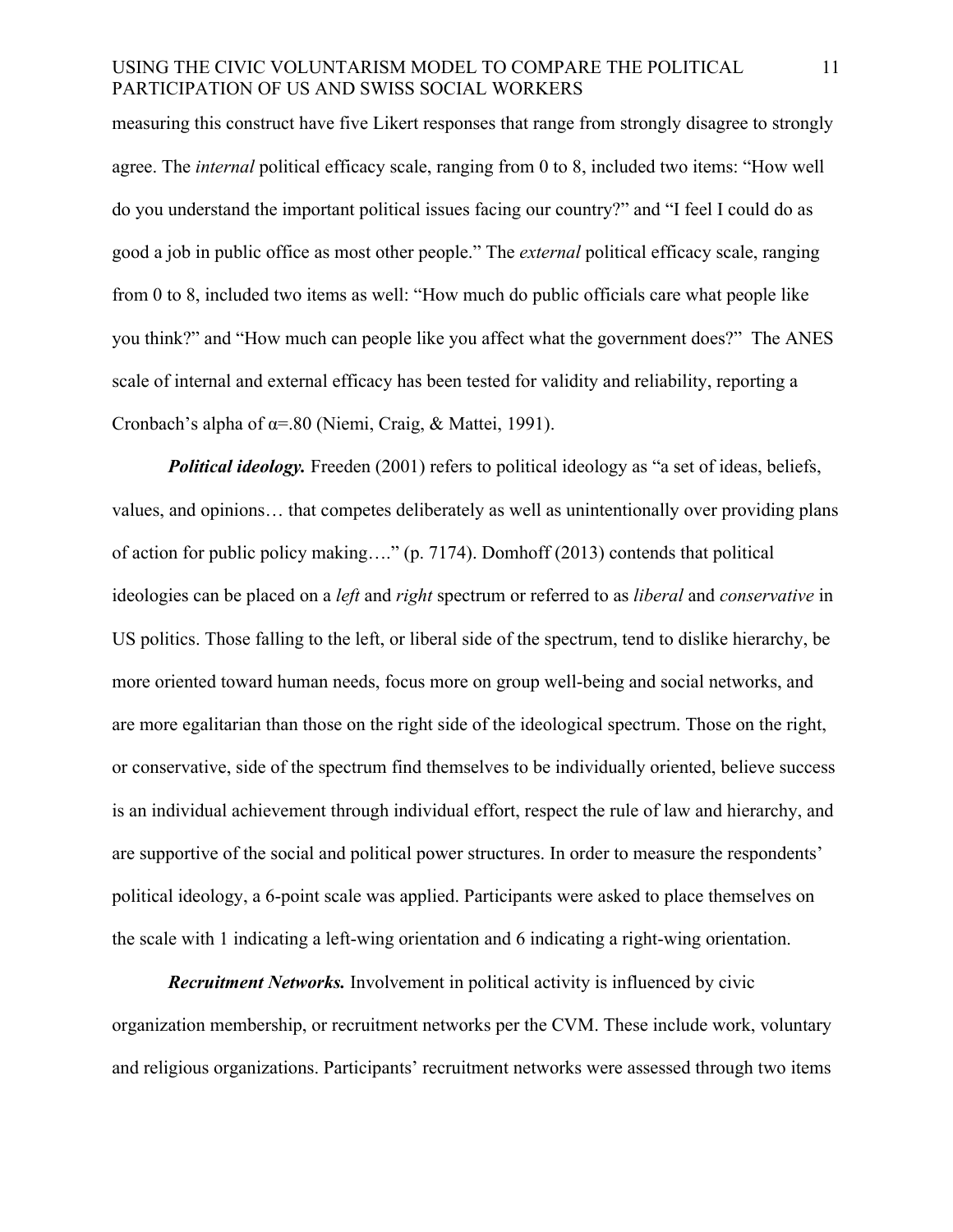measuring this construct have five Likert responses that range from strongly disagree to strongly agree. The *internal* political efficacy scale, ranging from 0 to 8, included two items: "How well do you understand the important political issues facing our country?" and "I feel I could do as good a job in public office as most other people." The *external* political efficacy scale, ranging from 0 to 8, included two items as well: "How much do public officials care what people like you think?" and "How much can people like you affect what the government does?" The ANES scale of internal and external efficacy has been tested for validity and reliability, reporting a Cronbach's alpha of α=.80 (Niemi, Craig, & Mattei, 1991).

*Political ideology.* Freeden (2001) refers to political ideology as "a set of ideas, beliefs, values, and opinions… that competes deliberately as well as unintentionally over providing plans of action for public policy making…." (p. 7174). Domhoff (2013) contends that political ideologies can be placed on a *left* and *right* spectrum or referred to as *liberal* and *conservative* in US politics. Those falling to the left, or liberal side of the spectrum, tend to dislike hierarchy, be more oriented toward human needs, focus more on group well-being and social networks, and are more egalitarian than those on the right side of the ideological spectrum. Those on the right, or conservative, side of the spectrum find themselves to be individually oriented, believe success is an individual achievement through individual effort, respect the rule of law and hierarchy, and are supportive of the social and political power structures. In order to measure the respondents' political ideology, a 6-point scale was applied. Participants were asked to place themselves on the scale with 1 indicating a left-wing orientation and 6 indicating a right-wing orientation.

*Recruitment Networks.* Involvement in political activity is influenced by civic organization membership, or recruitment networks per the CVM. These include work, voluntary and religious organizations. Participants' recruitment networks were assessed through two items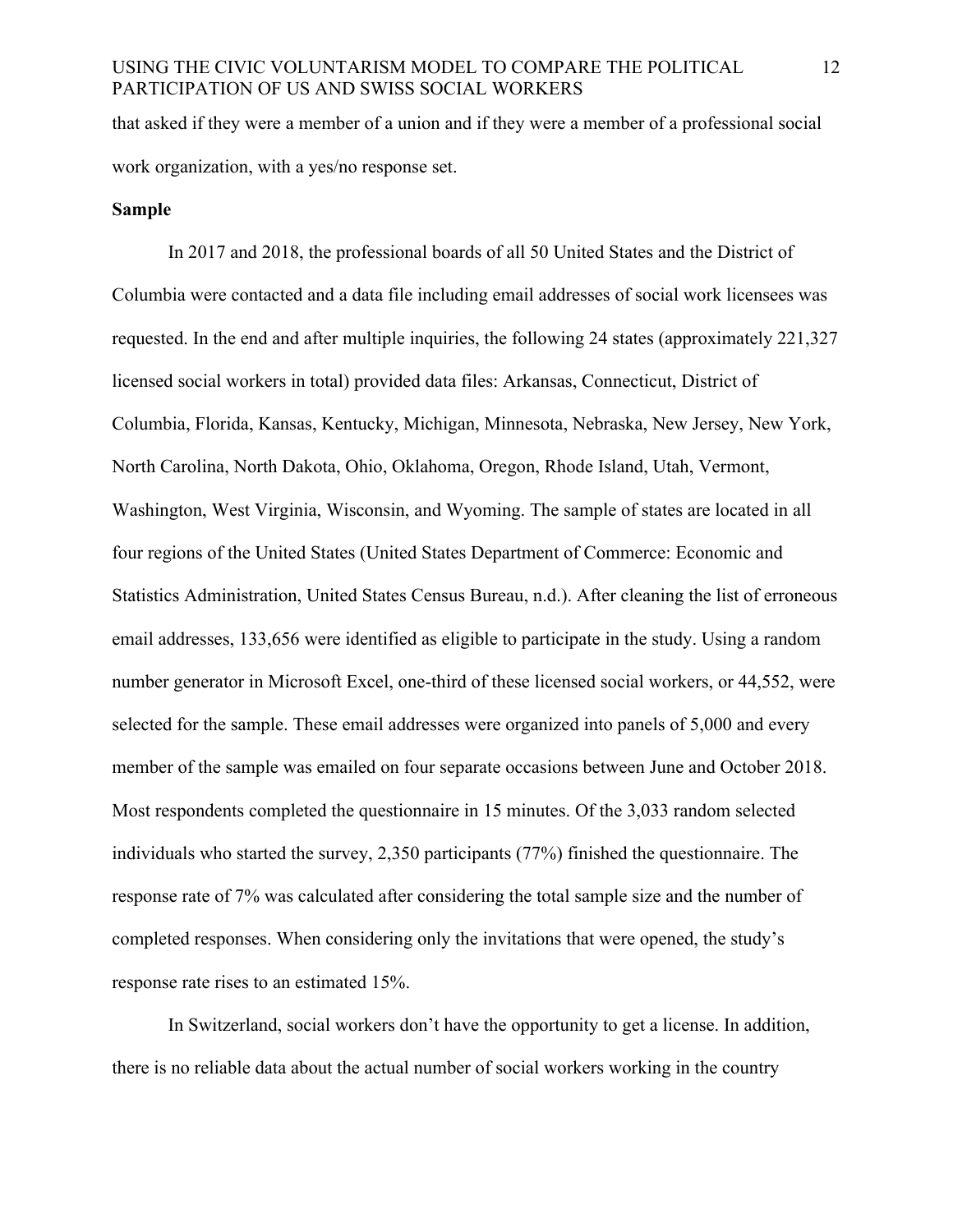that asked if they were a member of a union and if they were a member of a professional social work organization, with a yes/no response set.

#### **Sample**

In 2017 and 2018, the professional boards of all 50 United States and the District of Columbia were contacted and a data file including email addresses of social work licensees was requested. In the end and after multiple inquiries, the following 24 states (approximately 221,327 licensed social workers in total) provided data files: Arkansas, Connecticut, District of Columbia, Florida, Kansas, Kentucky, Michigan, Minnesota, Nebraska, New Jersey, New York, North Carolina, North Dakota, Ohio, Oklahoma, Oregon, Rhode Island, Utah, Vermont, Washington, West Virginia, Wisconsin, and Wyoming. The sample of states are located in all four regions of the United States (United States Department of Commerce: Economic and Statistics Administration, United States Census Bureau, n.d.). After cleaning the list of erroneous email addresses, 133,656 were identified as eligible to participate in the study. Using a random number generator in Microsoft Excel, one-third of these licensed social workers, or 44,552, were selected for the sample. These email addresses were organized into panels of 5,000 and every member of the sample was emailed on four separate occasions between June and October 2018. Most respondents completed the questionnaire in 15 minutes. Of the 3,033 random selected individuals who started the survey, 2,350 participants (77%) finished the questionnaire. The response rate of 7% was calculated after considering the total sample size and the number of completed responses. When considering only the invitations that were opened, the study's response rate rises to an estimated 15%.

In Switzerland, social workers don't have the opportunity to get a license. In addition, there is no reliable data about the actual number of social workers working in the country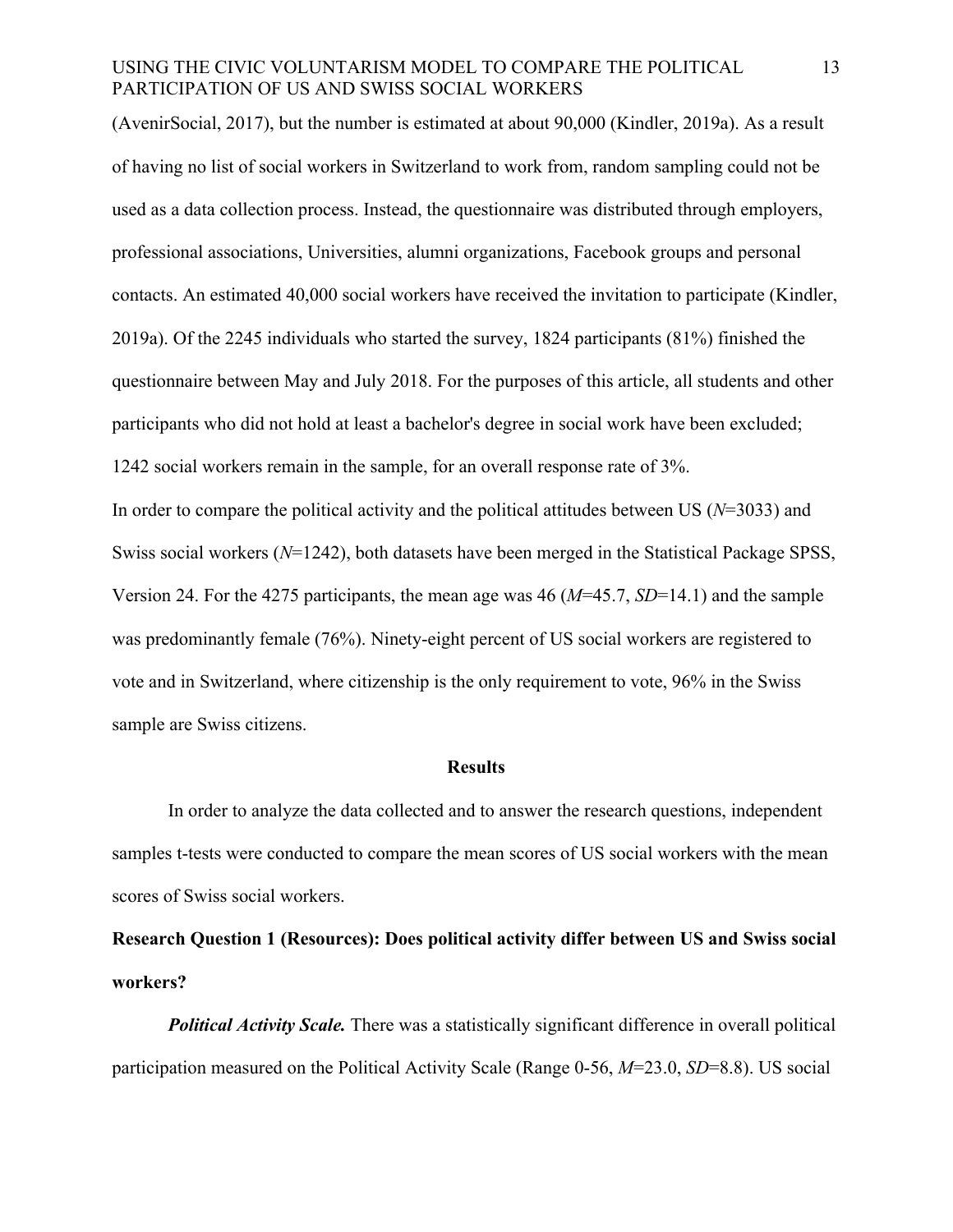(AvenirSocial, 2017), but the number is estimated at about 90,000 (Kindler, 2019a). As a result of having no list of social workers in Switzerland to work from, random sampling could not be used as a data collection process. Instead, the questionnaire was distributed through employers, professional associations, Universities, alumni organizations, Facebook groups and personal contacts. An estimated 40,000 social workers have received the invitation to participate (Kindler, 2019a). Of the 2245 individuals who started the survey, 1824 participants (81%) finished the questionnaire between May and July 2018. For the purposes of this article, all students and other participants who did not hold at least a bachelor's degree in social work have been excluded; 1242 social workers remain in the sample, for an overall response rate of 3%. In order to compare the political activity and the political attitudes between US (*N*=3033) and

Swiss social workers (*N*=1242), both datasets have been merged in the Statistical Package SPSS, Version 24. For the 4275 participants, the mean age was 46 (*M*=45.7, *SD*=14.1) and the sample was predominantly female (76%). Ninety-eight percent of US social workers are registered to vote and in Switzerland, where citizenship is the only requirement to vote, 96% in the Swiss sample are Swiss citizens.

#### **Results**

In order to analyze the data collected and to answer the research questions, independent samples t-tests were conducted to compare the mean scores of US social workers with the mean scores of Swiss social workers.

**Research Question 1 (Resources): Does political activity differ between US and Swiss social workers?**

*Political Activity Scale.* There was a statistically significant difference in overall political participation measured on the Political Activity Scale (Range 0-56, *M*=23.0, *SD*=8.8). US social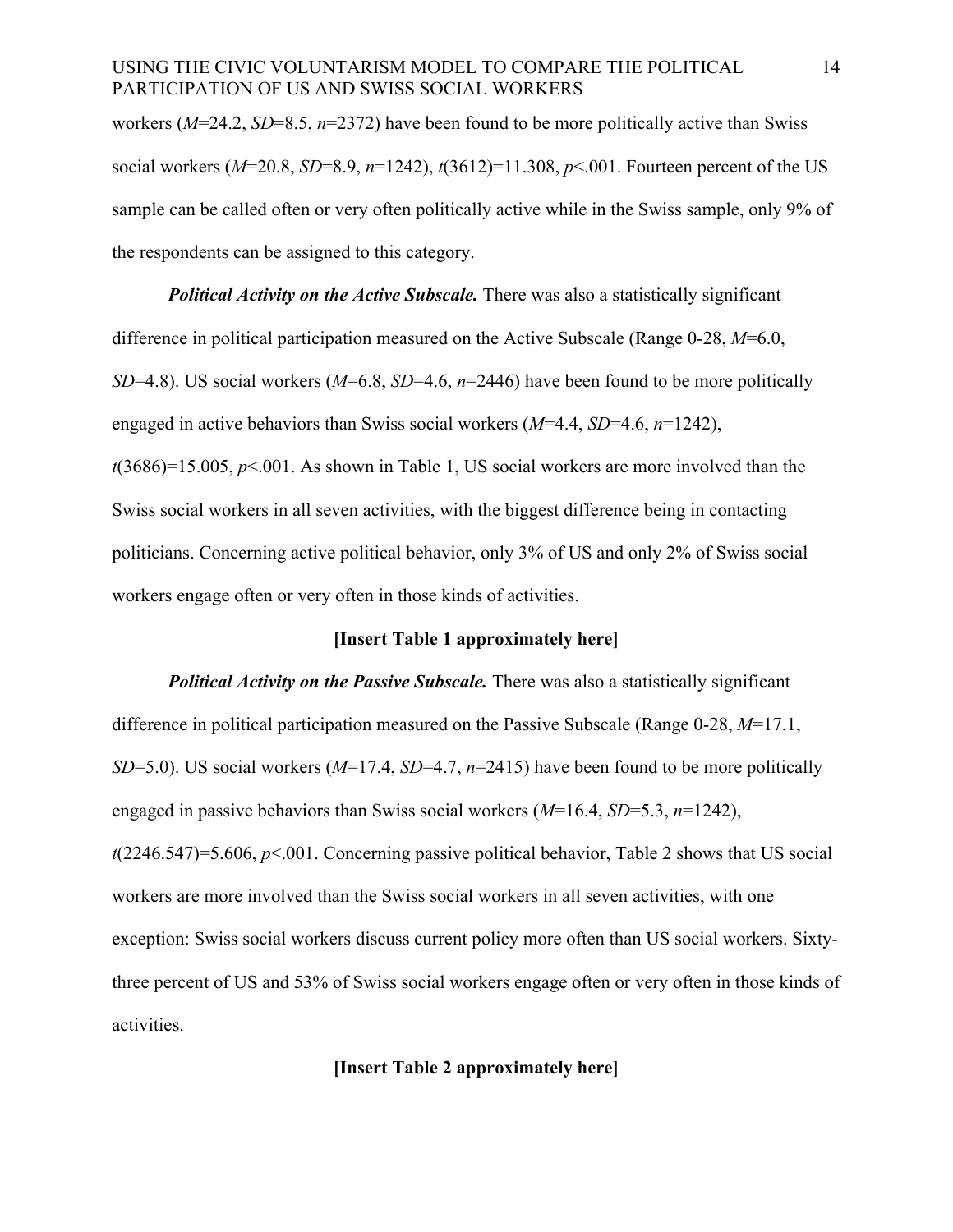workers (*M*=24.2, *SD*=8.5, *n*=2372) have been found to be more politically active than Swiss social workers (*M*=20.8, *SD*=8.9, *n*=1242), *t*(3612)=11.308, *p*<.001. Fourteen percent of the US sample can be called often or very often politically active while in the Swiss sample, only 9% of the respondents can be assigned to this category.

*Political Activity on the Active Subscale.* There was also a statistically significant difference in political participation measured on the Active Subscale (Range 0-28, *M*=6.0, *SD*=4.8). US social workers (*M*=6.8, *SD*=4.6, *n*=2446) have been found to be more politically engaged in active behaviors than Swiss social workers (*M*=4.4, *SD*=4.6, *n*=1242), *t*(3686)=15.005, *p*<.001. As shown in Table 1, US social workers are more involved than the Swiss social workers in all seven activities, with the biggest difference being in contacting politicians. Concerning active political behavior, only 3% of US and only 2% of Swiss social workers engage often or very often in those kinds of activities.

#### **[Insert Table 1 approximately here]**

*Political Activity on the Passive Subscale.* There was also a statistically significant difference in political participation measured on the Passive Subscale (Range 0-28, *M*=17.1, *SD*=5.0). US social workers (*M*=17.4, *SD*=4.7, *n*=2415) have been found to be more politically engaged in passive behaviors than Swiss social workers (*M*=16.4, *SD*=5.3, *n*=1242), *t*(2246.547)=5.606, *p*<.001. Concerning passive political behavior, Table 2 shows that US social workers are more involved than the Swiss social workers in all seven activities, with one exception: Swiss social workers discuss current policy more often than US social workers. Sixtythree percent of US and 53% of Swiss social workers engage often or very often in those kinds of activities.

# **[Insert Table 2 approximately here]**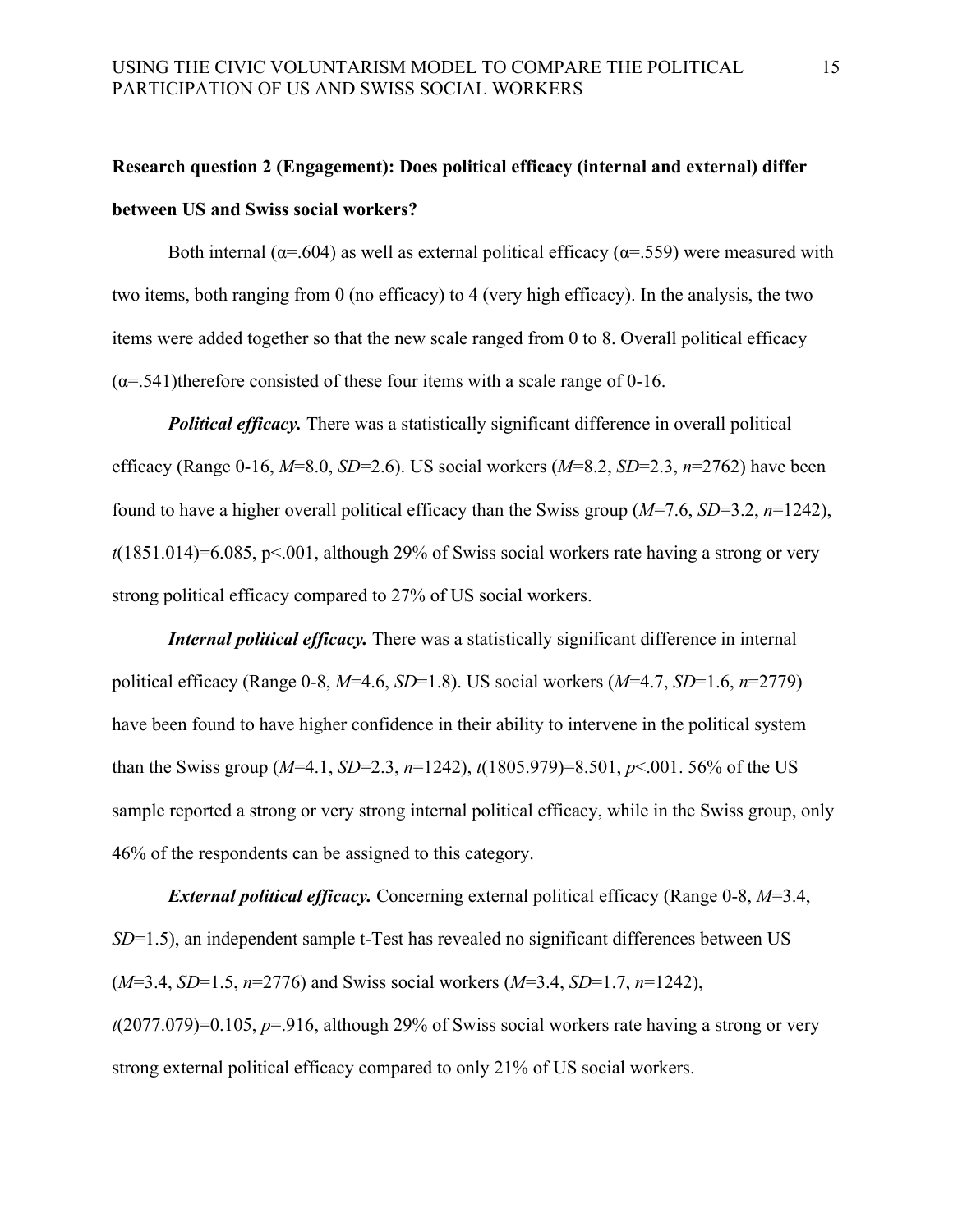# **Research question 2 (Engagement): Does political efficacy (internal and external) differ between US and Swiss social workers?**

Both internal ( $\alpha$ =.604) as well as external political efficacy ( $\alpha$ =.559) were measured with two items, both ranging from 0 (no efficacy) to 4 (very high efficacy). In the analysis, the two items were added together so that the new scale ranged from 0 to 8. Overall political efficacy  $(\alpha = 541)$ therefore consisted of these four items with a scale range of 0-16.

*Political efficacy.* There was a statistically significant difference in overall political efficacy (Range 0-16, *M*=8.0, *SD*=2.6). US social workers (*M*=8.2, *SD*=2.3, *n*=2762) have been found to have a higher overall political efficacy than the Swiss group (*M*=7.6, *SD*=3.2, *n*=1242), *t*(1851.014)=6.085, p<.001, although 29% of Swiss social workers rate having a strong or very strong political efficacy compared to 27% of US social workers.

*Internal political efficacy.* There was a statistically significant difference in internal political efficacy (Range 0-8, *M*=4.6, *SD*=1.8). US social workers (*M*=4.7, *SD*=1.6, *n*=2779) have been found to have higher confidence in their ability to intervene in the political system than the Swiss group (*M*=4.1, *SD*=2.3, *n*=1242), *t*(1805.979)=8.501, *p*<.001. 56% of the US sample reported a strong or very strong internal political efficacy, while in the Swiss group, only 46% of the respondents can be assigned to this category.

*External political efficacy.* Concerning external political efficacy (Range 0-8, *M*=3.4, *SD*=1.5), an independent sample t-Test has revealed no significant differences between US (*M*=3.4, *SD*=1.5, *n*=2776) and Swiss social workers (*M*=3.4, *SD*=1.7, *n*=1242), *t*(2077.079)=0.105, *p*=.916, although 29% of Swiss social workers rate having a strong or very strong external political efficacy compared to only 21% of US social workers.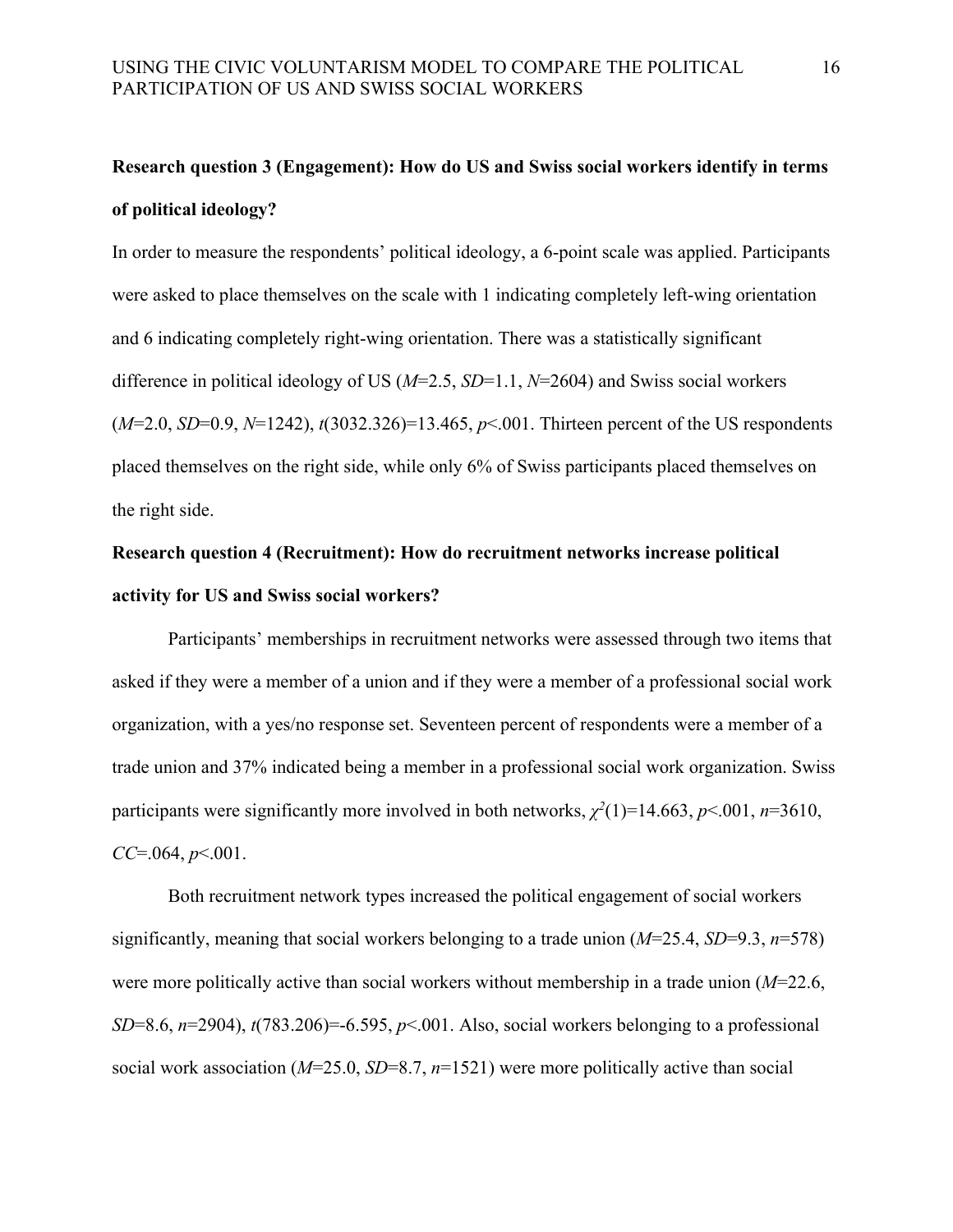# **Research question 3 (Engagement): How do US and Swiss social workers identify in terms of political ideology?**

In order to measure the respondents' political ideology, a 6-point scale was applied. Participants were asked to place themselves on the scale with 1 indicating completely left-wing orientation and 6 indicating completely right-wing orientation. There was a statistically significant difference in political ideology of US (*M*=2.5, *SD*=1.1, *N*=2604) and Swiss social workers (*M*=2.0, *SD*=0.9, *N*=1242), *t*(3032.326)=13.465, *p*<.001. Thirteen percent of the US respondents placed themselves on the right side, while only 6% of Swiss participants placed themselves on the right side.

# **Research question 4 (Recruitment): How do recruitment networks increase political activity for US and Swiss social workers?**

Participants' memberships in recruitment networks were assessed through two items that asked if they were a member of a union and if they were a member of a professional social work organization, with a yes/no response set. Seventeen percent of respondents were a member of a trade union and 37% indicated being a member in a professional social work organization. Swiss participants were significantly more involved in both networks,  $\chi^2(1)$ =14.663, *p*<.001, *n*=3610, *CC*=.064, *p*<.001.

Both recruitment network types increased the political engagement of social workers significantly, meaning that social workers belonging to a trade union (*M*=25.4, *SD*=9.3, *n*=578) were more politically active than social workers without membership in a trade union (*M*=22.6, *SD*=8.6, *n*=2904),  $t(783.206)$ =-6.595, *p*<.001. Also, social workers belonging to a professional social work association (*M*=25.0, *SD*=8.7, *n*=1521) were more politically active than social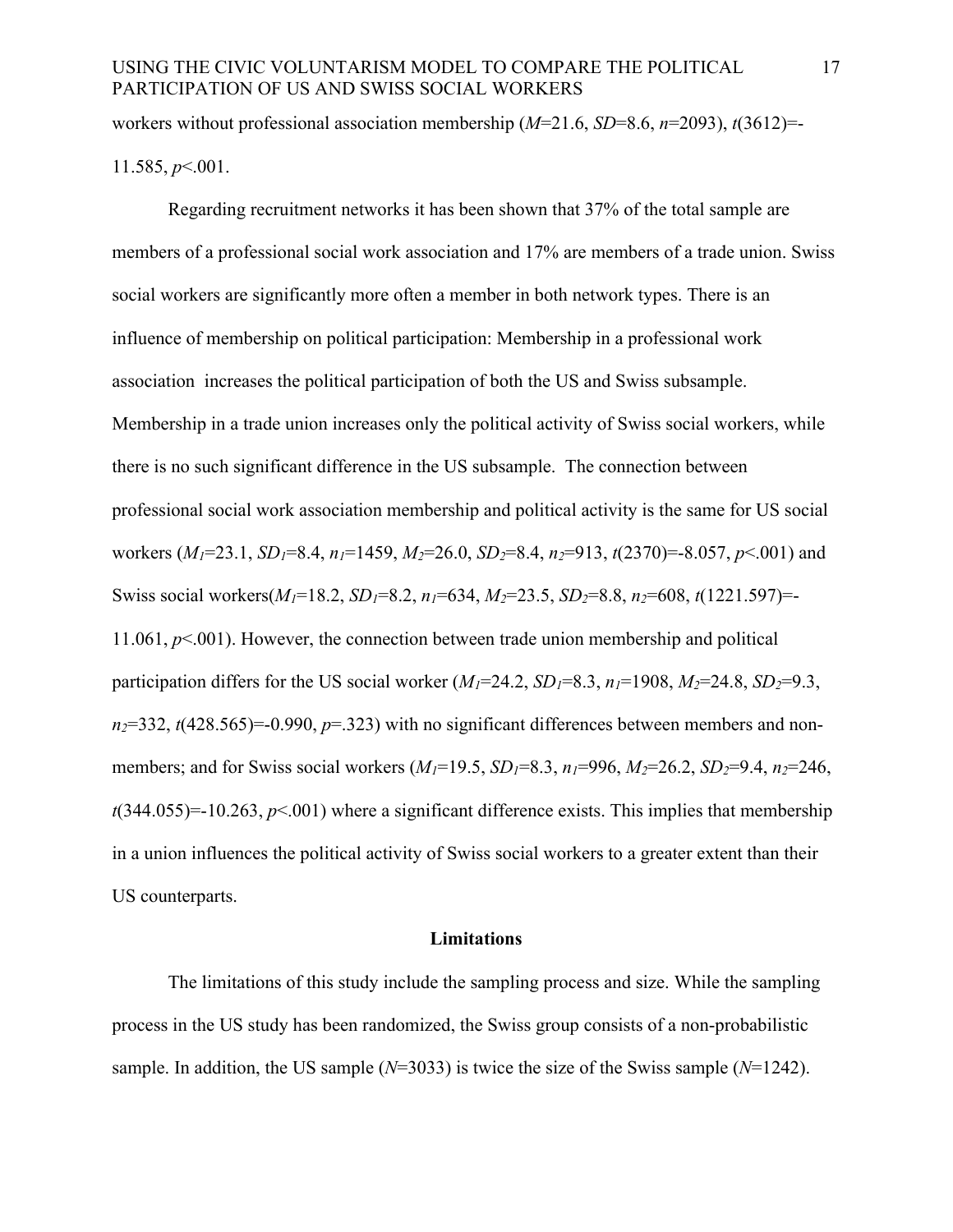workers without professional association membership (*M*=21.6, *SD*=8.6, *n*=2093), *t*(3612)=- 11.585, *p*<.001.

Regarding recruitment networks it has been shown that 37% of the total sample are members of a professional social work association and 17% are members of a trade union. Swiss social workers are significantly more often a member in both network types. There is an influence of membership on political participation: Membership in a professional work association increases the political participation of both the US and Swiss subsample. Membership in a trade union increases only the political activity of Swiss social workers, while there is no such significant difference in the US subsample. The connection between professional social work association membership and political activity is the same for US social workers (*M1*=23.1, *SD1*=8.4, *n1*=1459, *M2*=26.0, *SD2*=8.4, *n2*=913, *t*(2370)=-8.057, *p*<.001) and Swiss social workers(*M1*=18.2, *SD1*=8.2, *n1*=634, *M2*=23.5, *SD2*=8.8, *n2*=608, *t*(1221.597)=- 11.061, *p*<.001). However, the connection between trade union membership and political participation differs for the US social worker  $(M_1=24.2, SD_1=8.3, n_1=1908, M_2=24.8, SD_2=9.3,$  $n_2$ =332,  $t$ (428.565)=-0.990,  $p$ =.323) with no significant differences between members and nonmembers; and for Swiss social workers  $(M_1=19.5, SD_1=8.3, n_1=996, M_2=26.2, SD_2=9.4, n_2=246,$  $t(344.055)=10.263$ ,  $p<.001$ ) where a significant difference exists. This implies that membership in a union influences the political activity of Swiss social workers to a greater extent than their US counterparts.

#### **Limitations**

The limitations of this study include the sampling process and size. While the sampling process in the US study has been randomized, the Swiss group consists of a non-probabilistic sample. In addition, the US sample (*N*=3033) is twice the size of the Swiss sample (*N*=1242).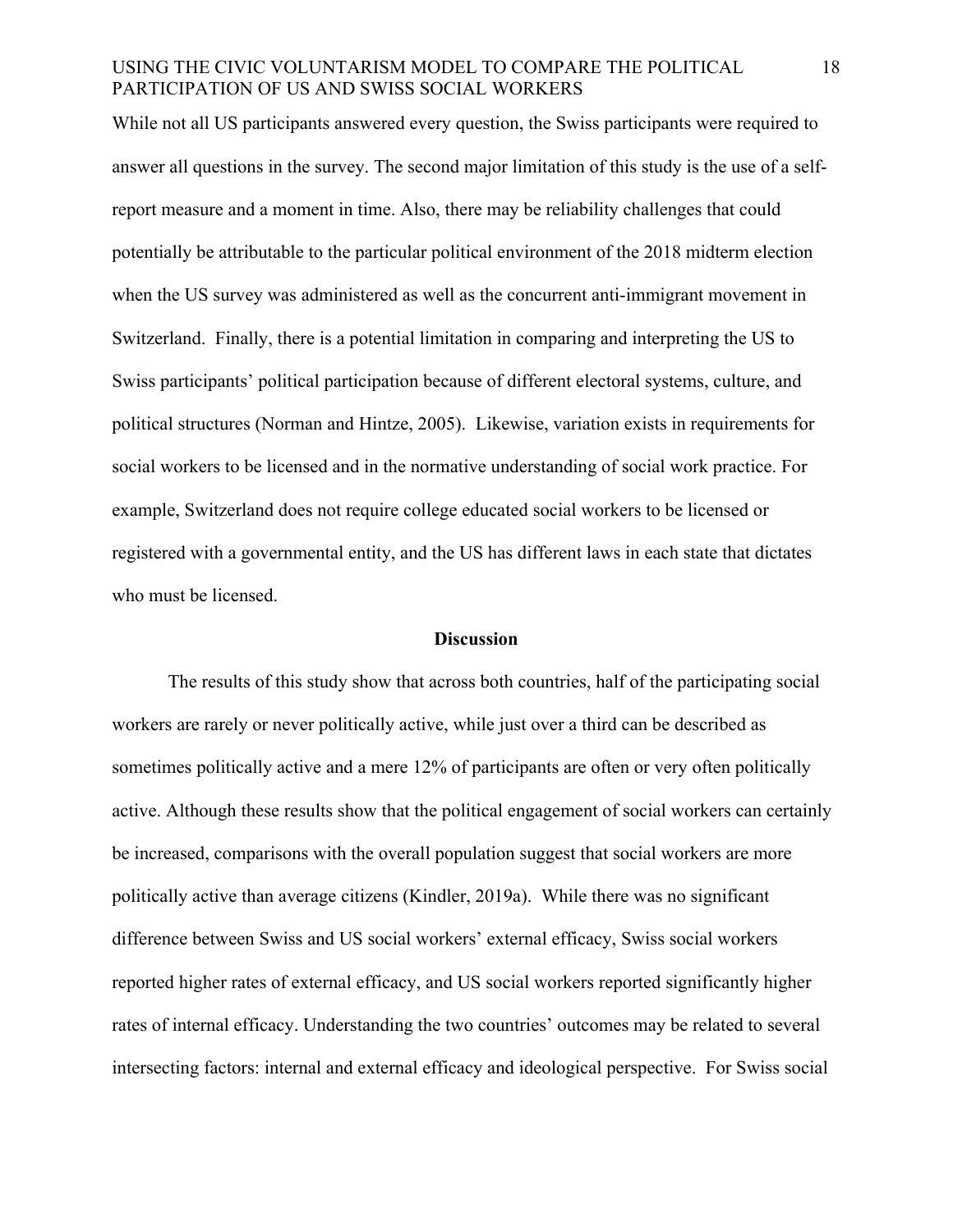While not all US participants answered every question, the Swiss participants were required to answer all questions in the survey. The second major limitation of this study is the use of a selfreport measure and a moment in time. Also, there may be reliability challenges that could potentially be attributable to the particular political environment of the 2018 midterm election when the US survey was administered as well as the concurrent anti-immigrant movement in Switzerland. Finally, there is a potential limitation in comparing and interpreting the US to Swiss participants' political participation because of different electoral systems, culture, and political structures (Norman and Hintze, 2005). Likewise, variation exists in requirements for social workers to be licensed and in the normative understanding of social work practice. For example, Switzerland does not require college educated social workers to be licensed or registered with a governmental entity, and the US has different laws in each state that dictates who must be licensed.

#### **Discussion**

The results of this study show that across both countries, half of the participating social workers are rarely or never politically active, while just over a third can be described as sometimes politically active and a mere 12% of participants are often or very often politically active. Although these results show that the political engagement of social workers can certainly be increased, comparisons with the overall population suggest that social workers are more politically active than average citizens (Kindler, 2019a). While there was no significant difference between Swiss and US social workers' external efficacy, Swiss social workers reported higher rates of external efficacy, and US social workers reported significantly higher rates of internal efficacy. Understanding the two countries' outcomes may be related to several intersecting factors: internal and external efficacy and ideological perspective. For Swiss social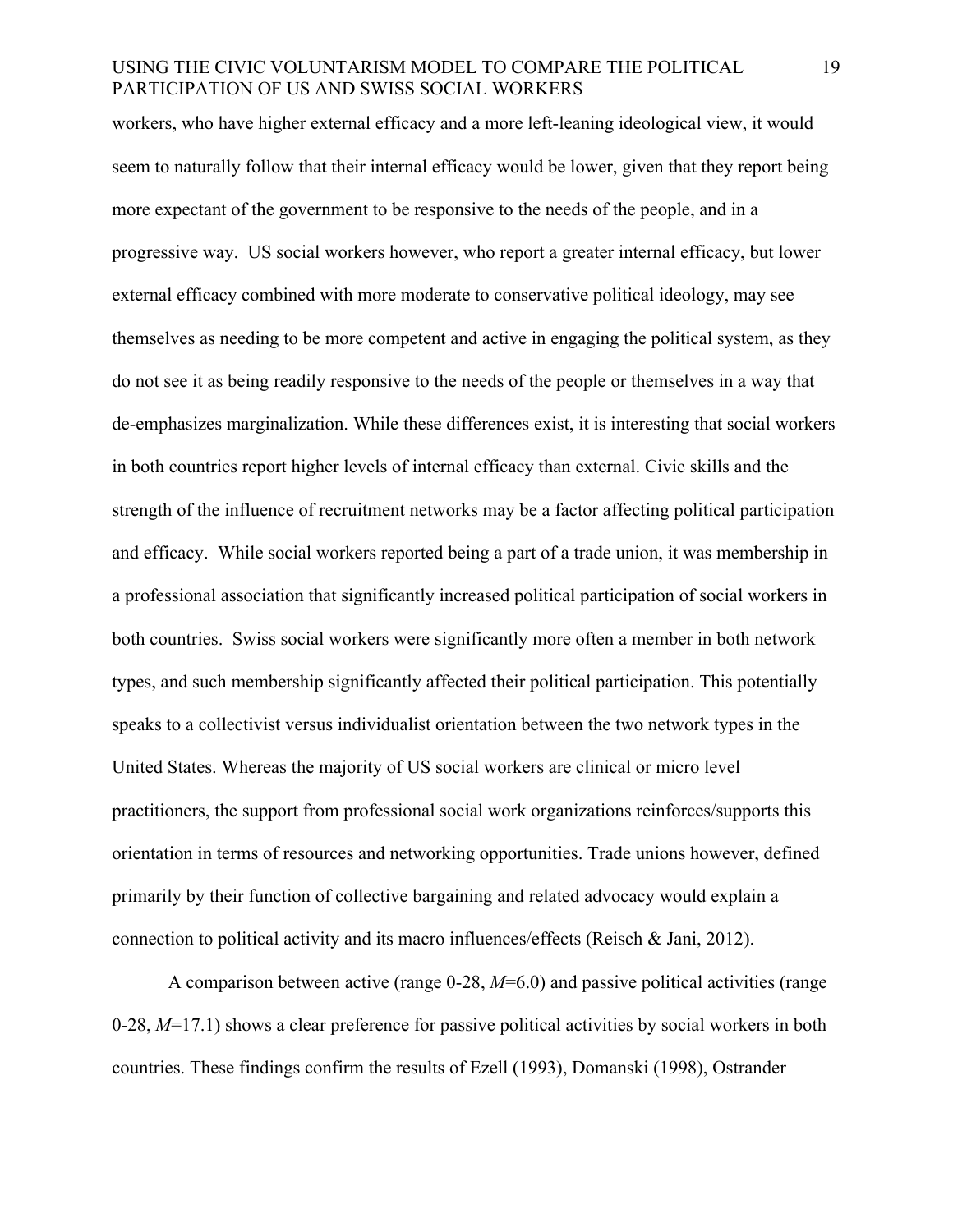workers, who have higher external efficacy and a more left-leaning ideological view, it would seem to naturally follow that their internal efficacy would be lower, given that they report being more expectant of the government to be responsive to the needs of the people, and in a progressive way. US social workers however, who report a greater internal efficacy, but lower external efficacy combined with more moderate to conservative political ideology, may see themselves as needing to be more competent and active in engaging the political system, as they do not see it as being readily responsive to the needs of the people or themselves in a way that de-emphasizes marginalization. While these differences exist, it is interesting that social workers in both countries report higher levels of internal efficacy than external. Civic skills and the strength of the influence of recruitment networks may be a factor affecting political participation and efficacy. While social workers reported being a part of a trade union, it was membership in a professional association that significantly increased political participation of social workers in both countries. Swiss social workers were significantly more often a member in both network types, and such membership significantly affected their political participation. This potentially speaks to a collectivist versus individualist orientation between the two network types in the United States. Whereas the majority of US social workers are clinical or micro level practitioners, the support from professional social work organizations reinforces/supports this orientation in terms of resources and networking opportunities. Trade unions however, defined primarily by their function of collective bargaining and related advocacy would explain a connection to political activity and its macro influences/effects (Reisch & Jani, 2012).

A comparison between active (range 0-28, *M*=6.0) and passive political activities (range 0-28, *M*=17.1) shows a clear preference for passive political activities by social workers in both countries. These findings confirm the results of Ezell (1993), Domanski (1998), Ostrander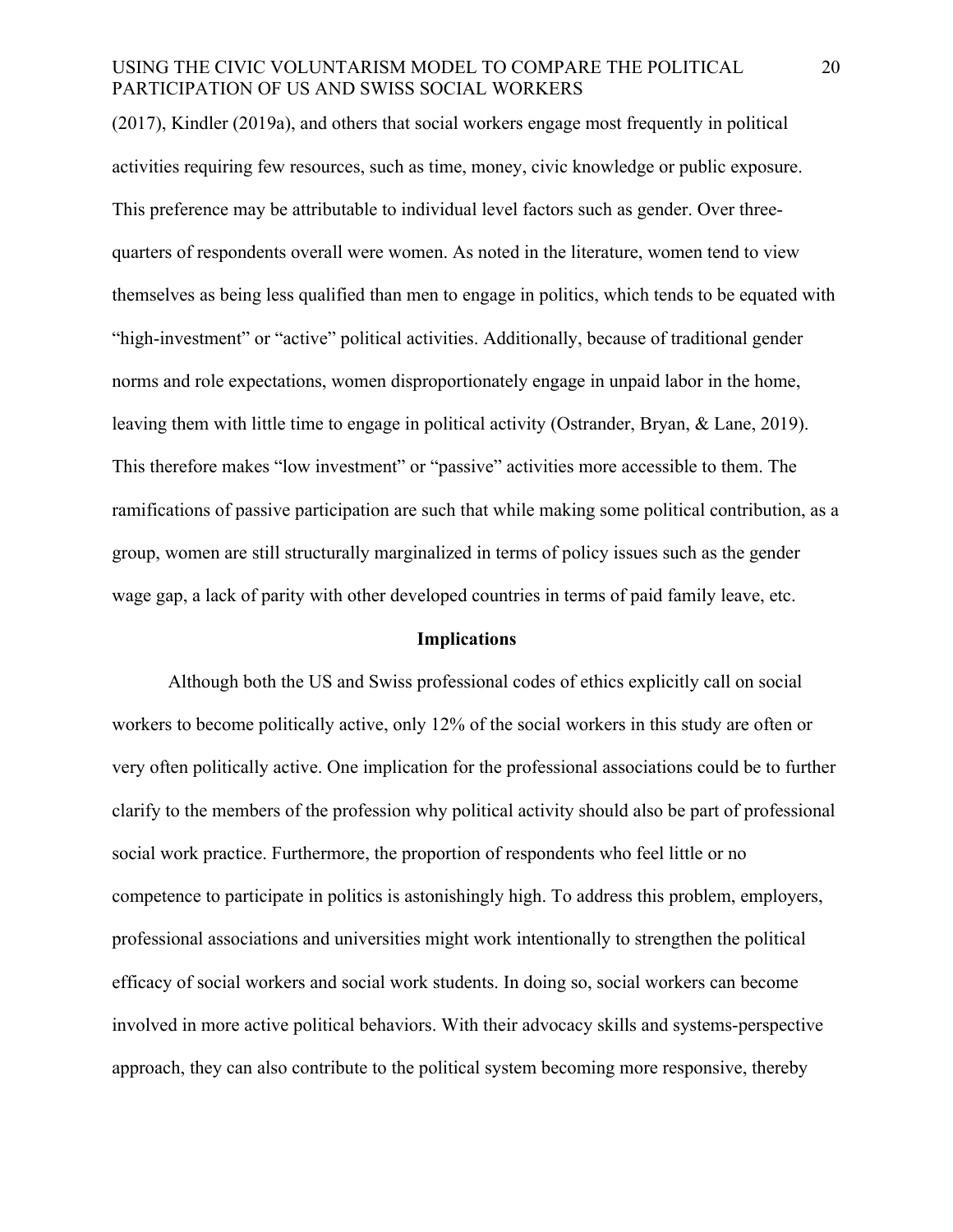(2017), Kindler (2019a), and others that social workers engage most frequently in political activities requiring few resources, such as time, money, civic knowledge or public exposure. This preference may be attributable to individual level factors such as gender. Over threequarters of respondents overall were women. As noted in the literature, women tend to view themselves as being less qualified than men to engage in politics, which tends to be equated with "high-investment" or "active" political activities. Additionally, because of traditional gender norms and role expectations, women disproportionately engage in unpaid labor in the home, leaving them with little time to engage in political activity (Ostrander, Bryan, & Lane, 2019). This therefore makes "low investment" or "passive" activities more accessible to them. The ramifications of passive participation are such that while making some political contribution, as a group, women are still structurally marginalized in terms of policy issues such as the gender wage gap, a lack of parity with other developed countries in terms of paid family leave, etc.

#### **Implications**

Although both the US and Swiss professional codes of ethics explicitly call on social workers to become politically active, only 12% of the social workers in this study are often or very often politically active. One implication for the professional associations could be to further clarify to the members of the profession why political activity should also be part of professional social work practice. Furthermore, the proportion of respondents who feel little or no competence to participate in politics is astonishingly high. To address this problem, employers, professional associations and universities might work intentionally to strengthen the political efficacy of social workers and social work students. In doing so, social workers can become involved in more active political behaviors. With their advocacy skills and systems-perspective approach, they can also contribute to the political system becoming more responsive, thereby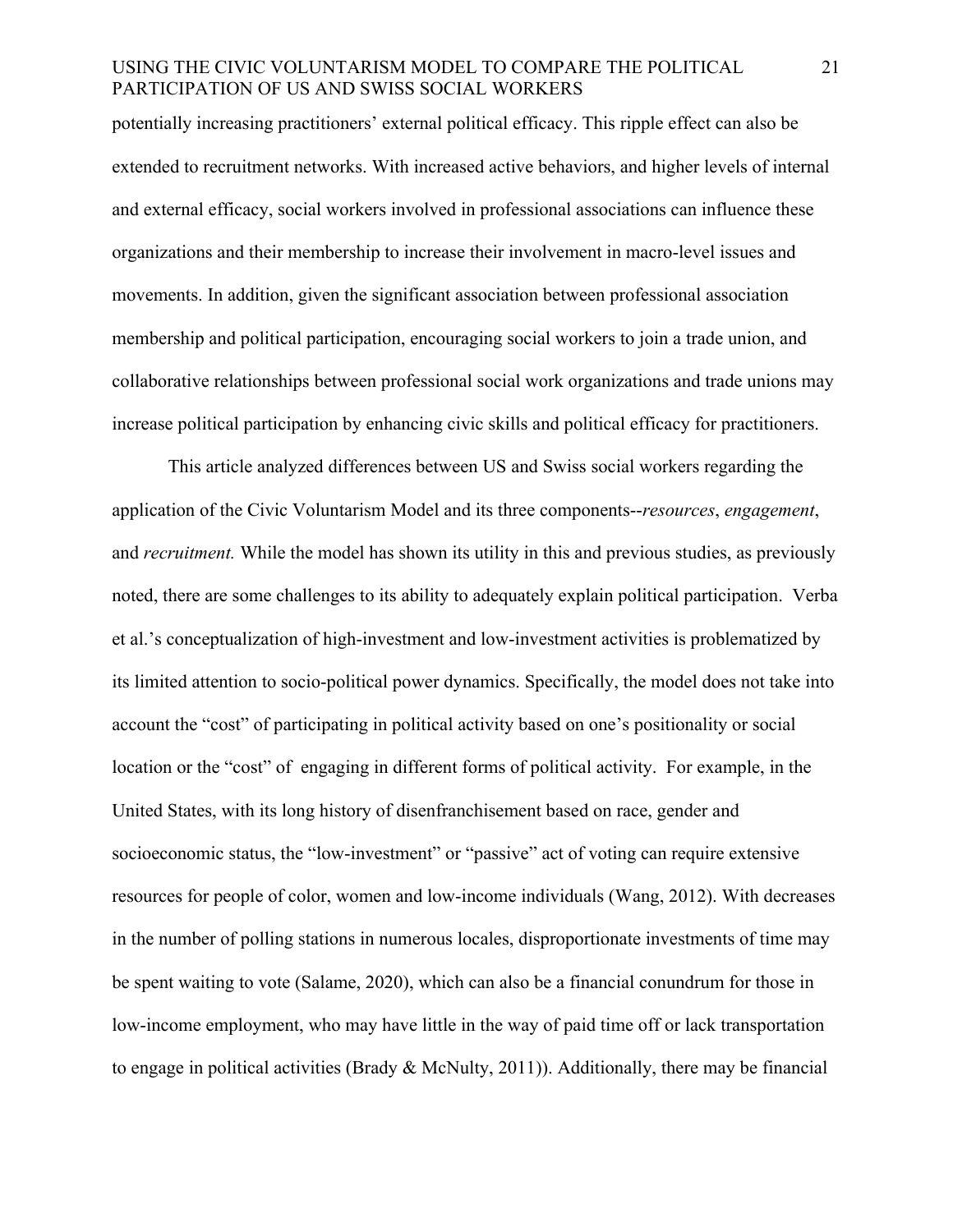potentially increasing practitioners' external political efficacy. This ripple effect can also be extended to recruitment networks. With increased active behaviors, and higher levels of internal and external efficacy, social workers involved in professional associations can influence these organizations and their membership to increase their involvement in macro-level issues and movements. In addition, given the significant association between professional association membership and political participation, encouraging social workers to join a trade union, and collaborative relationships between professional social work organizations and trade unions may increase political participation by enhancing civic skills and political efficacy for practitioners.

This article analyzed differences between US and Swiss social workers regarding the application of the Civic Voluntarism Model and its three components--*resources*, *engagement*, and *recruitment.* While the model has shown its utility in this and previous studies, as previously noted, there are some challenges to its ability to adequately explain political participation. Verba et al.'s conceptualization of high-investment and low-investment activities is problematized by its limited attention to socio-political power dynamics. Specifically, the model does not take into account the "cost" of participating in political activity based on one's positionality or social location or the "cost" of engaging in different forms of political activity. For example, in the United States, with its long history of disenfranchisement based on race, gender and socioeconomic status, the "low-investment" or "passive" act of voting can require extensive resources for people of color, women and low-income individuals (Wang, 2012). With decreases in the number of polling stations in numerous locales, disproportionate investments of time may be spent waiting to vote (Salame, 2020), which can also be a financial conundrum for those in low-income employment, who may have little in the way of paid time off or lack transportation to engage in political activities (Brady & McNulty, 2011)). Additionally, there may be financial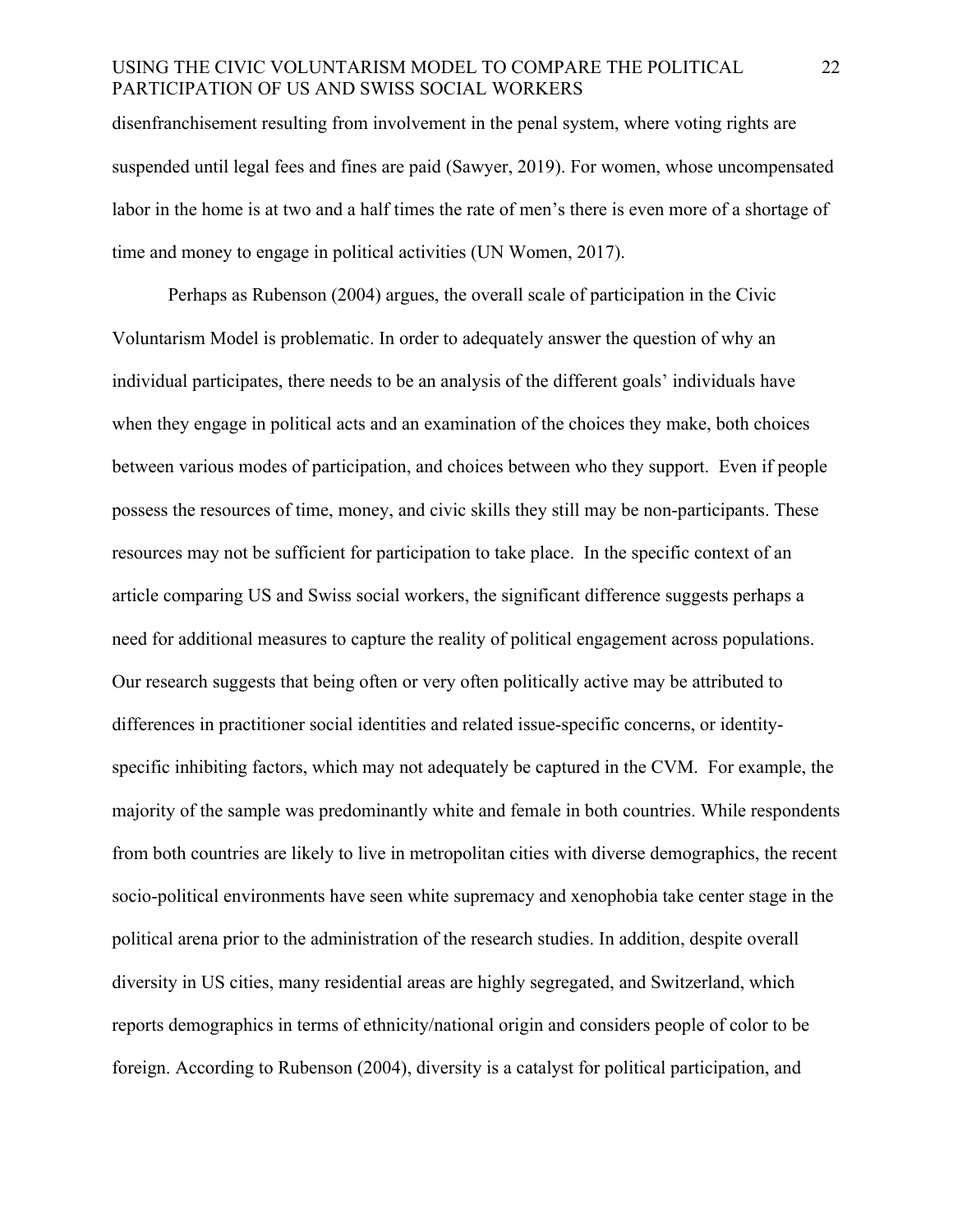disenfranchisement resulting from involvement in the penal system, where voting rights are suspended until legal fees and fines are paid (Sawyer, 2019). For women, whose uncompensated labor in the home is at two and a half times the rate of men's there is even more of a shortage of time and money to engage in political activities (UN Women, 2017).

Perhaps as Rubenson (2004) argues, the overall scale of participation in the Civic Voluntarism Model is problematic. In order to adequately answer the question of why an individual participates, there needs to be an analysis of the different goals' individuals have when they engage in political acts and an examination of the choices they make, both choices between various modes of participation, and choices between who they support. Even if people possess the resources of time, money, and civic skills they still may be non-participants. These resources may not be sufficient for participation to take place. In the specific context of an article comparing US and Swiss social workers, the significant difference suggests perhaps a need for additional measures to capture the reality of political engagement across populations. Our research suggests that being often or very often politically active may be attributed to differences in practitioner social identities and related issue-specific concerns, or identityspecific inhibiting factors, which may not adequately be captured in the CVM. For example, the majority of the sample was predominantly white and female in both countries. While respondents from both countries are likely to live in metropolitan cities with diverse demographics, the recent socio-political environments have seen white supremacy and xenophobia take center stage in the political arena prior to the administration of the research studies. In addition, despite overall diversity in US cities, many residential areas are highly segregated, and Switzerland, which reports demographics in terms of ethnicity/national origin and considers people of color to be foreign. According to Rubenson (2004), diversity is a catalyst for political participation, and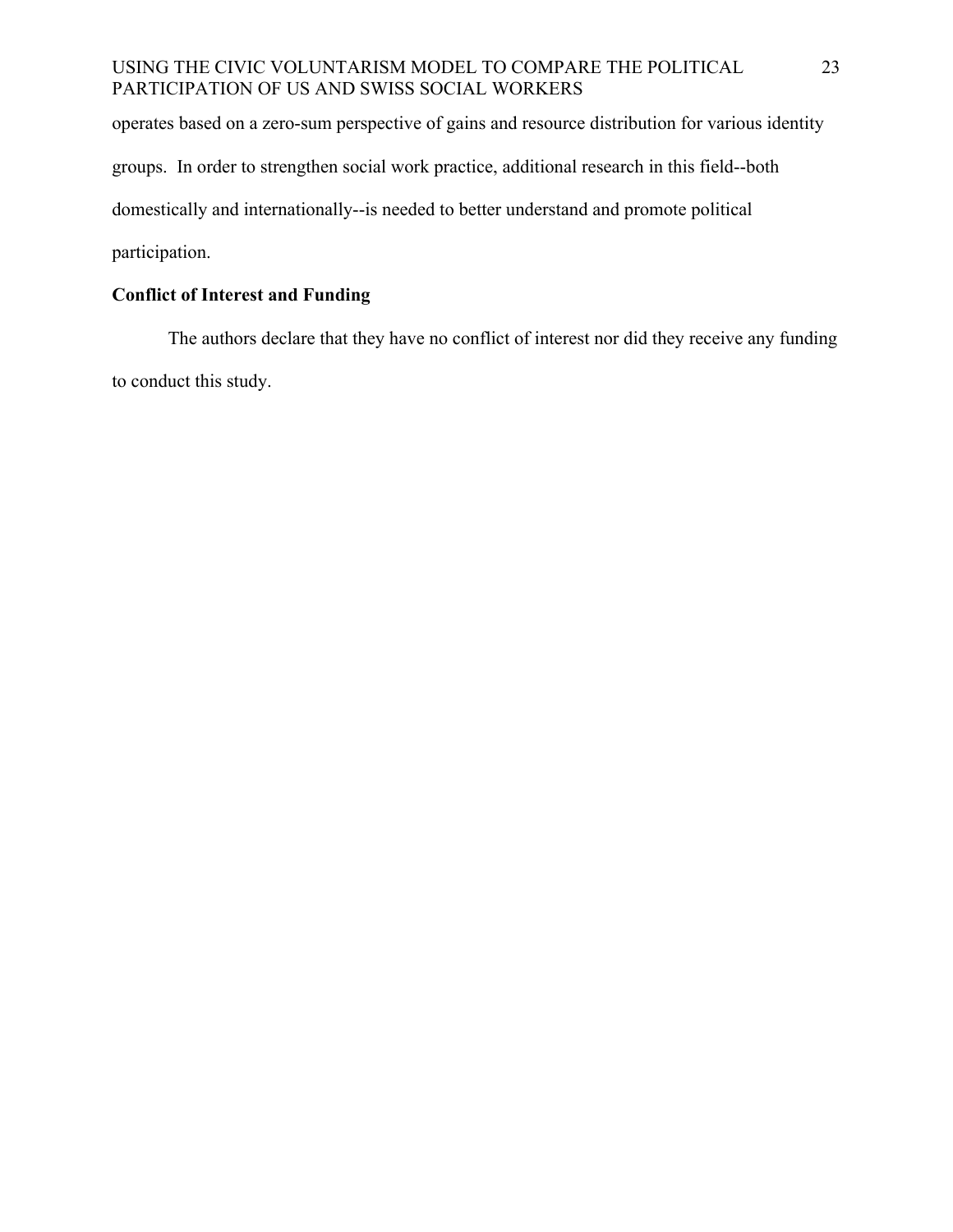operates based on a zero-sum perspective of gains and resource distribution for various identity groups. In order to strengthen social work practice, additional research in this field--both domestically and internationally--is needed to better understand and promote political participation.

# **Conflict of Interest and Funding**

The authors declare that they have no conflict of interest nor did they receive any funding to conduct this study.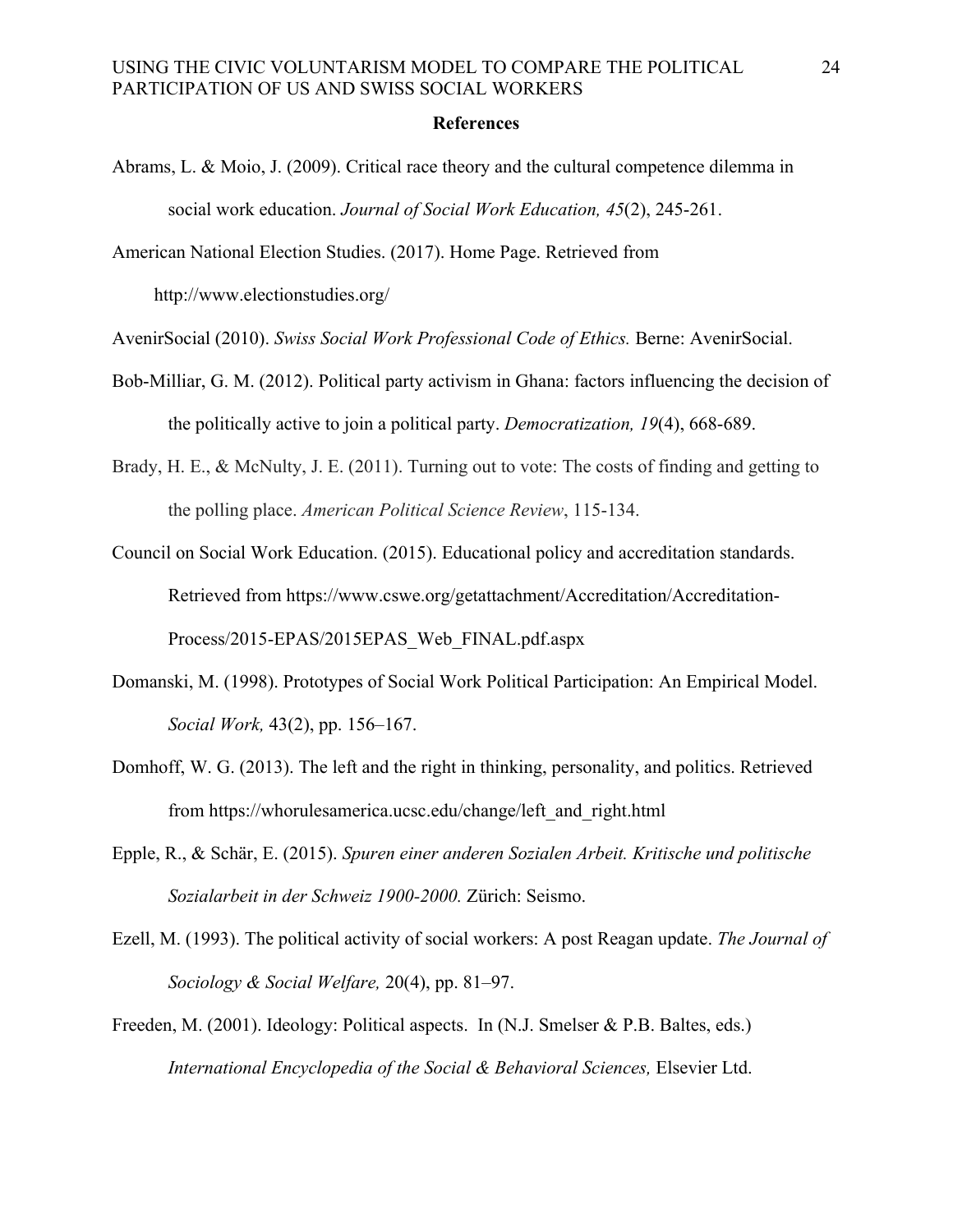#### **References**

- Abrams, L. & Moio, J. (2009). Critical race theory and the cultural competence dilemma in social work education. *Journal of Social Work Education, 45*(2), 245-261.
- American National Election Studies. (2017). Home Page. Retrieved from

http://www.electionstudies.org/

AvenirSocial (2010). *Swiss Social Work Professional Code of Ethics.* Berne: AvenirSocial.

- Bob-Milliar, G. M. (2012). Political party activism in Ghana: factors influencing the decision of the politically active to join a political party. *Democratization, 19*(4), 668-689.
- Brady, H. E., & McNulty, J. E. (2011). Turning out to vote: The costs of finding and getting to the polling place. *American Political Science Review*, 115-134.

Council on Social Work Education. (2015). Educational policy and accreditation standards. Retrieved from https://www.cswe.org/getattachment/Accreditation/Accreditation-Process/2015-EPAS/2015EPAS\_Web\_FINAL.pdf.aspx

- Domanski, M. (1998). Prototypes of Social Work Political Participation: An Empirical Model. *Social Work,* 43(2), pp. 156–167.
- Domhoff, W. G. (2013). The left and the right in thinking, personality, and politics. Retrieved from https://whorulesamerica.ucsc.edu/change/left\_and\_right.html
- Epple, R., & Schär, E. (2015). *Spuren einer anderen Sozialen Arbeit. Kritische und politische Sozialarbeit in der Schweiz 1900-2000.* Zürich: Seismo.
- Ezell, M. (1993). The political activity of social workers: A post Reagan update. *The Journal of Sociology & Social Welfare,* 20(4), pp. 81–97.
- Freeden, M. (2001). Ideology: Political aspects. In (N.J. Smelser & P.B. Baltes, eds.) *International Encyclopedia of the Social & Behavioral Sciences,* Elsevier Ltd.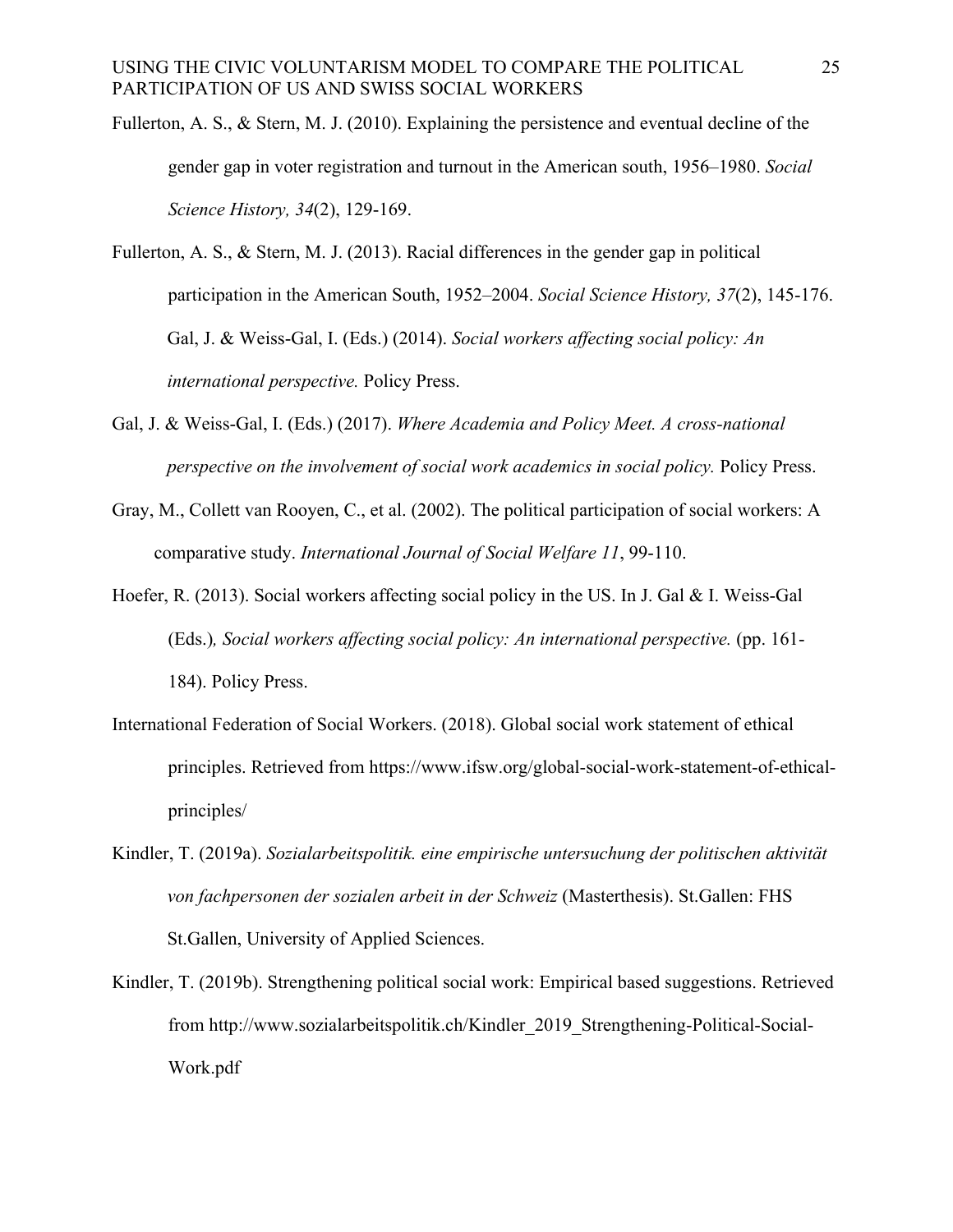- Fullerton, A. S., & Stern, M. J. (2010). Explaining the persistence and eventual decline of the gender gap in voter registration and turnout in the American south, 1956–1980. *Social Science History, 34*(2), 129-169.
- Fullerton, A. S., & Stern, M. J. (2013). Racial differences in the gender gap in political participation in the American South, 1952–2004. *Social Science History, 37*(2), 145-176. Gal, J. & Weiss-Gal, I. (Eds.) (2014). *Social workers affecting social policy: An international perspective.* Policy Press.
- Gal, J. & Weiss-Gal, I. (Eds.) (2017). *Where Academia and Policy Meet. A cross-national perspective on the involvement of social work academics in social policy.* Policy Press.
- Gray, M., Collett van Rooyen, C., et al. (2002). The political participation of social workers: A comparative study. *International Journal of Social Welfare 11*, 99-110.
- Hoefer, R. (2013). Social workers affecting social policy in the US. In J. Gal & I. Weiss-Gal (Eds.)*, Social workers affecting social policy: An international perspective.* (pp. 161- 184). Policy Press.
- International Federation of Social Workers. (2018). Global social work statement of ethical principles. Retrieved from https://www.ifsw.org/global-social-work-statement-of-ethicalprinciples/
- Kindler, T. (2019a). *Sozialarbeitspolitik. eine empirische untersuchung der politischen aktivität von fachpersonen der sozialen arbeit in der Schweiz* (Masterthesis). St.Gallen: FHS St.Gallen, University of Applied Sciences.
- Kindler, T. (2019b). Strengthening political social work: Empirical based suggestions. Retrieved from http://www.sozialarbeitspolitik.ch/Kindler\_2019\_Strengthening-Political-Social-Work.pdf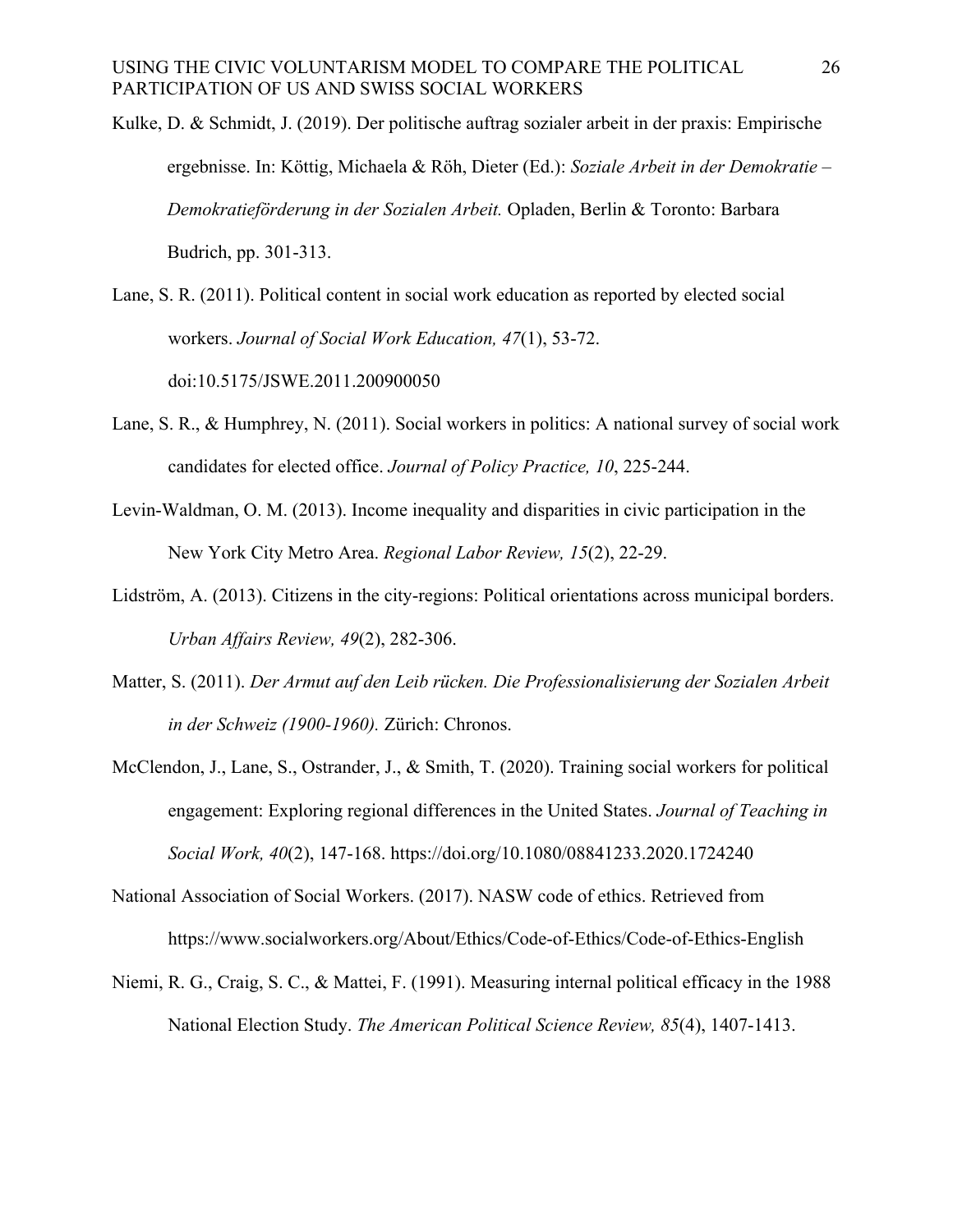- Kulke, D. & Schmidt, J. (2019). Der politische auftrag sozialer arbeit in der praxis: Empirische ergebnisse. In: Köttig, Michaela & Röh, Dieter (Ed.): *Soziale Arbeit in der Demokratie – Demokratieförderung in der Sozialen Arbeit.* Opladen, Berlin & Toronto: Barbara Budrich, pp. 301-313.
- Lane, S. R. (2011). Political content in social work education as reported by elected social workers. *Journal of Social Work Education, 47*(1), 53-72. doi:10.5175/JSWE.2011.200900050
- Lane, S. R., & Humphrey, N. (2011). Social workers in politics: A national survey of social work candidates for elected office. *Journal of Policy Practice, 10*, 225-244.
- Levin-Waldman, O. M. (2013). Income inequality and disparities in civic participation in the New York City Metro Area. *Regional Labor Review, 15*(2), 22-29.
- Lidström, A. (2013). Citizens in the city-regions: Political orientations across municipal borders. *Urban Affairs Review, 49*(2), 282-306.
- Matter, S. (2011). *Der Armut auf den Leib rücken. Die Professionalisierung der Sozialen Arbeit in der Schweiz (1900-1960).* Zürich: Chronos.
- McClendon, J., Lane, S., Ostrander, J., & Smith, T. (2020). Training social workers for political engagement: Exploring regional differences in the United States. *Journal of Teaching in Social Work, 40*(2), 147-168. https://doi.org/10.1080/08841233.2020.1724240
- National Association of Social Workers. (2017). NASW code of ethics. Retrieved from https://www.socialworkers.org/About/Ethics/Code-of-Ethics/Code-of-Ethics-English
- Niemi, R. G., Craig, S. C., & Mattei, F. (1991). Measuring internal political efficacy in the 1988 National Election Study. *The American Political Science Review, 85*(4), 1407-1413.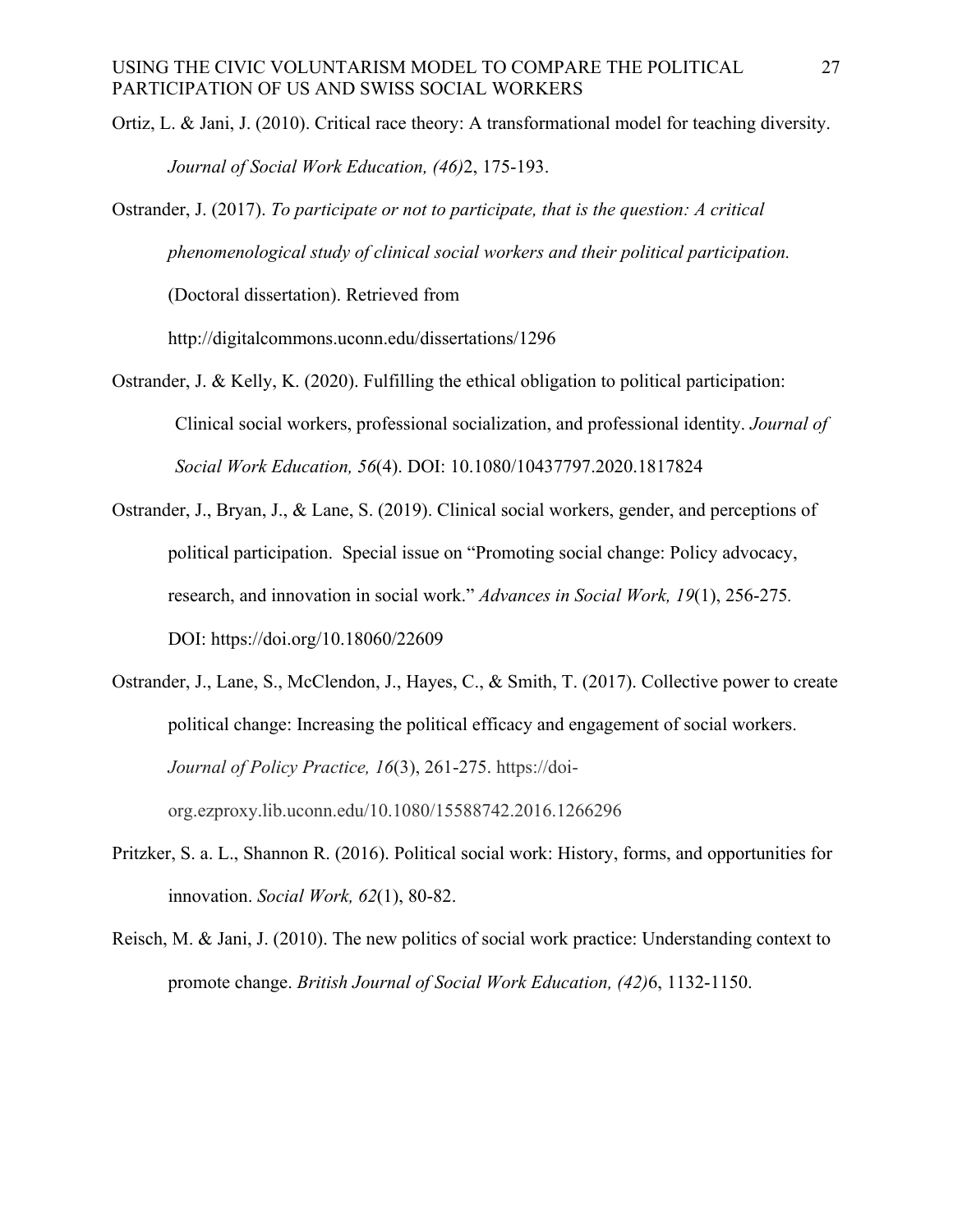- Ortiz, L. & Jani, J. (2010). Critical race theory: A transformational model for teaching diversity. *Journal of Social Work Education, (46)*2, 175-193.
- Ostrander, J. (2017). *To participate or not to participate, that is the question: A critical phenomenological study of clinical social workers and their political participation.*

(Doctoral dissertation). Retrieved from

http://digitalcommons.uconn.edu/dissertations/1296

- Ostrander, J. & Kelly, K. (2020). Fulfilling the ethical obligation to political participation: Clinical social workers, professional socialization, and professional identity. *Journal of Social Work Education, 56*(4). DOI: 10.1080/10437797.2020.1817824
- Ostrander, J., Bryan, J., & Lane, S. (2019). Clinical social workers, gender, and perceptions of political participation. Special issue on "Promoting social change: Policy advocacy, research, and innovation in social work." *Advances in Social Work, 19*(1), 256-275*.* DOI: https://doi.org/10.18060/22609
- Ostrander, J., Lane, S., McClendon, J., Hayes, C., & Smith, T. (2017). Collective power to create political change: Increasing the political efficacy and engagement of social workers. *Journal of Policy Practice, 16*(3), 261-275. https://doiorg.ezproxy.lib.uconn.edu/10.1080/15588742.2016.1266296
- Pritzker, S. a. L., Shannon R. (2016). Political social work: History, forms, and opportunities for innovation. *Social Work, 62*(1), 80-82.
- Reisch, M. & Jani, J. (2010). The new politics of social work practice: Understanding context to promote change. *British Journal of Social Work Education, (42)*6, 1132-1150.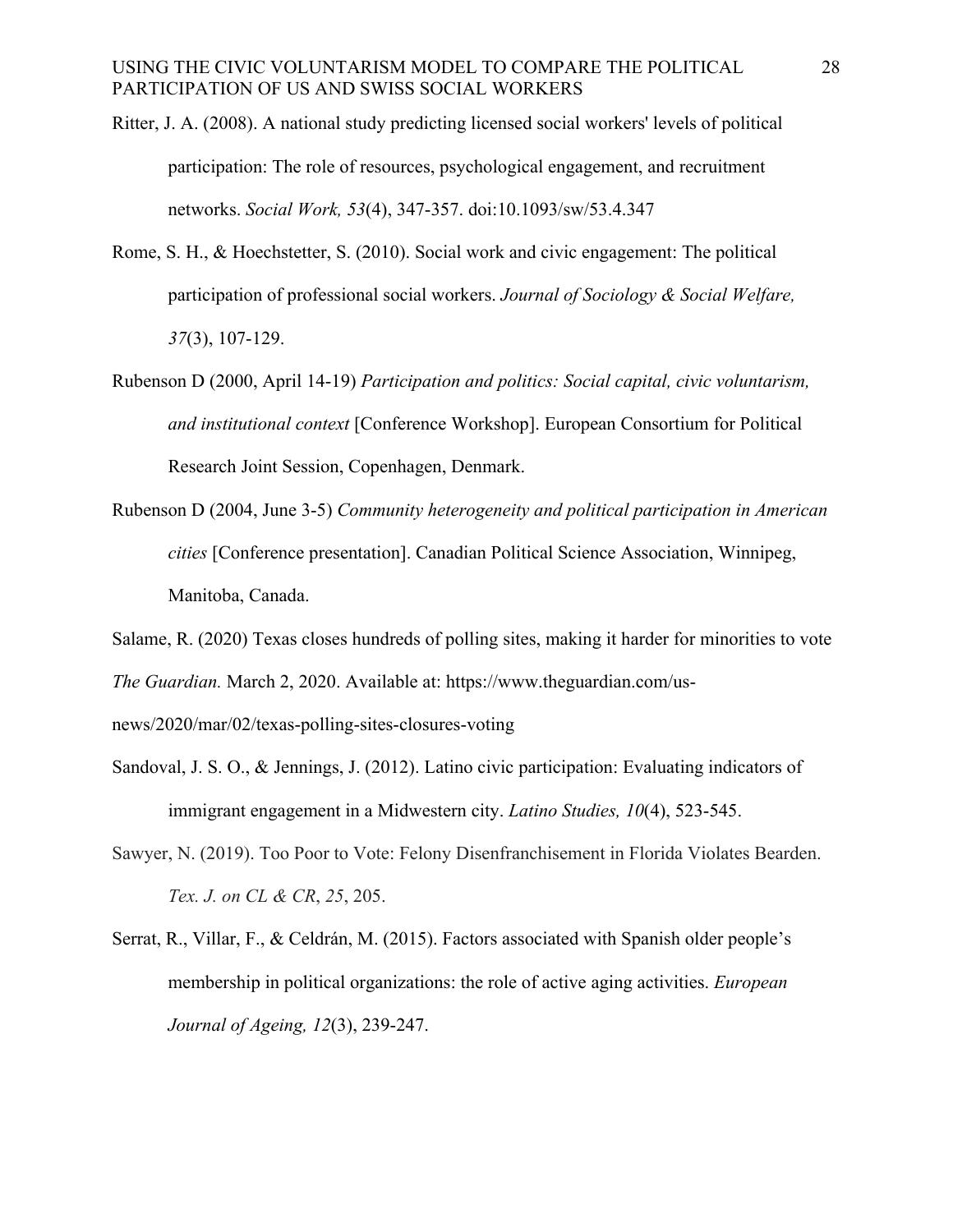- Ritter, J. A. (2008). A national study predicting licensed social workers' levels of political participation: The role of resources, psychological engagement, and recruitment networks. *Social Work, 53*(4), 347-357. doi:10.1093/sw/53.4.347
- Rome, S. H., & Hoechstetter, S. (2010). Social work and civic engagement: The political participation of professional social workers. *Journal of Sociology & Social Welfare, 37*(3), 107-129.
- Rubenson D (2000, April 14-19) *Participation and politics: Social capital, civic voluntarism, and institutional context* [Conference Workshop]. European Consortium for Political Research Joint Session, Copenhagen, Denmark.
- Rubenson D (2004, June 3-5) *Community heterogeneity and political participation in American cities* [Conference presentation]. Canadian Political Science Association, Winnipeg, Manitoba, Canada.
- Salame, R. (2020) Texas closes hundreds of polling sites, making it harder for minorities to vote *The Guardian.* March 2, 2020. Available at: https://www.theguardian.com/us-

news/2020/mar/02/texas-polling-sites-closures-voting

- Sandoval, J. S. O., & Jennings, J. (2012). Latino civic participation: Evaluating indicators of immigrant engagement in a Midwestern city. *Latino Studies, 10*(4), 523-545.
- Sawyer, N. (2019). Too Poor to Vote: Felony Disenfranchisement in Florida Violates Bearden. *Tex. J. on CL & CR*, *25*, 205.
- Serrat, R., Villar, F., & Celdrán, M. (2015). Factors associated with Spanish older people's membership in political organizations: the role of active aging activities. *European Journal of Ageing, 12*(3), 239-247.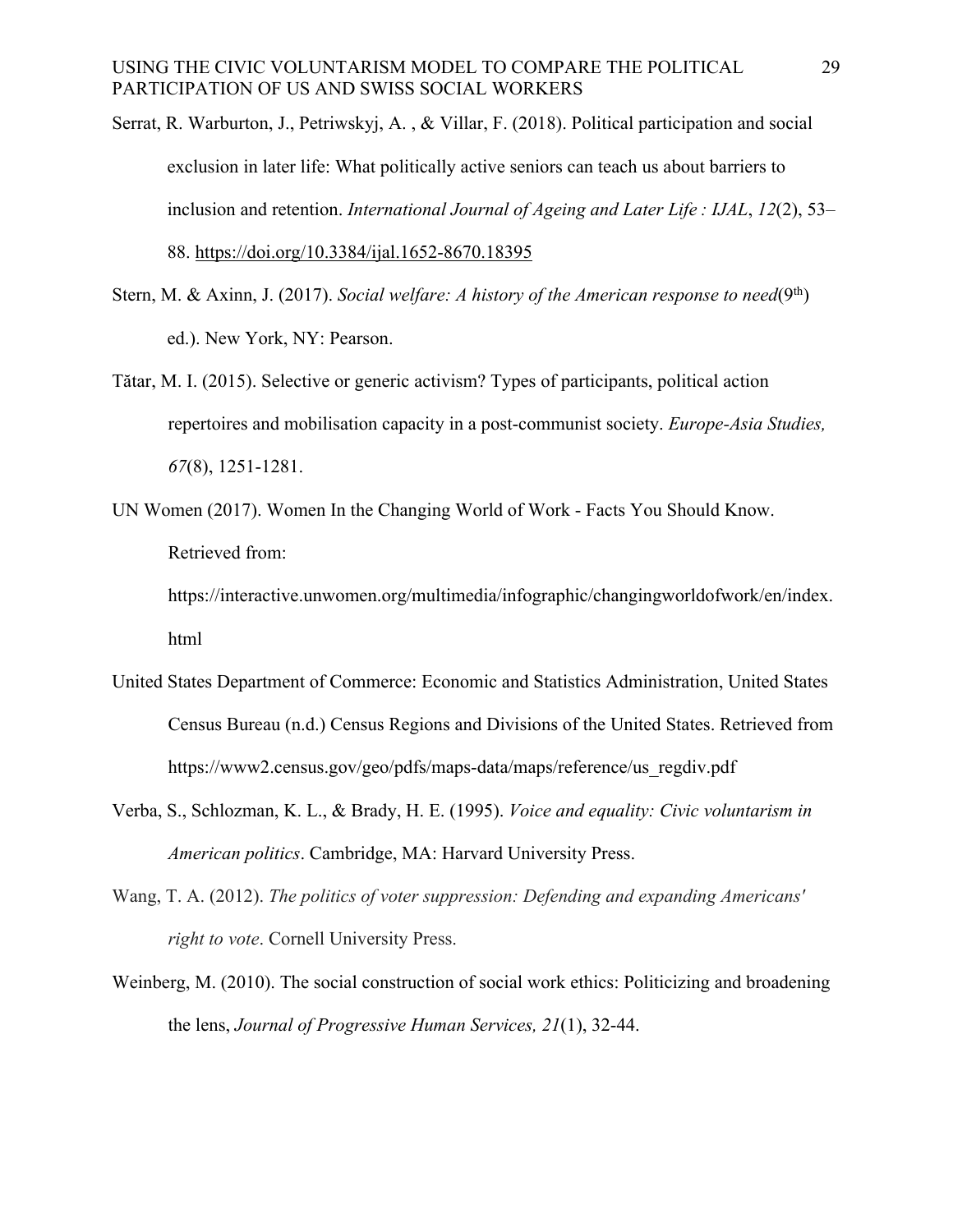- Serrat, R. Warburton, J., Petriwskyj, A. , & Villar, F. (2018). Political participation and social exclusion in later life: What politically active seniors can teach us about barriers to inclusion and retention. *International Journal of Ageing and Later Life : IJAL*, *12*(2), 53– 88. https://doi.org/10.3384/ijal.1652-8670.18395
- Stern, M. & Axinn, J. (2017). *Social welfare: A history of the American response to need*(9th) ed.). New York, NY: Pearson.
- Tătar, M. I. (2015). Selective or generic activism? Types of participants, political action repertoires and mobilisation capacity in a post-communist society. *Europe-Asia Studies, 67*(8), 1251-1281.
- UN Women (2017). Women In the Changing World of Work Facts You Should Know. Retrieved from:

https://interactive.unwomen.org/multimedia/infographic/changingworldofwork/en/index. html

- United States Department of Commerce: Economic and Statistics Administration, United States Census Bureau (n.d.) Census Regions and Divisions of the United States. Retrieved from https://www2.census.gov/geo/pdfs/maps-data/maps/reference/us\_regdiv.pdf
- Verba, S., Schlozman, K. L., & Brady, H. E. (1995). *Voice and equality: Civic voluntarism in American politics*. Cambridge, MA: Harvard University Press.
- Wang, T. A. (2012). *The politics of voter suppression: Defending and expanding Americans' right to vote*. Cornell University Press.
- Weinberg, M. (2010). The social construction of social work ethics: Politicizing and broadening the lens, *Journal of Progressive Human Services, 21*(1), 32-44.